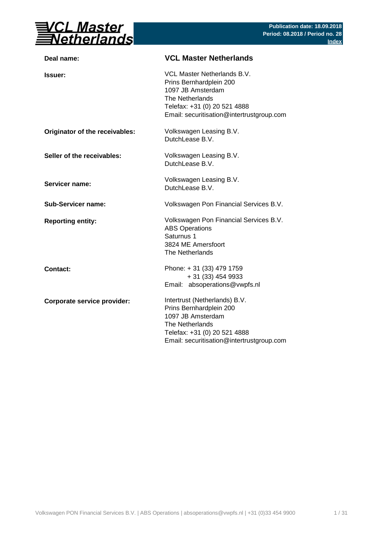

| Deal name:                     | <b>VCL Master Netherlands</b>                                                                                                                                                 |
|--------------------------------|-------------------------------------------------------------------------------------------------------------------------------------------------------------------------------|
| <b>Issuer:</b>                 | VCL Master Netherlands B.V.<br>Prins Bernhardplein 200<br>1097 JB Amsterdam<br>The Netherlands<br>Telefax: +31 (0) 20 521 4888<br>Email: securitisation@intertrustgroup.com   |
| Originator of the receivables: | Volkswagen Leasing B.V.<br>DutchLease B.V.                                                                                                                                    |
| Seller of the receivables:     | Volkswagen Leasing B.V.<br>DutchLease B.V.                                                                                                                                    |
| Servicer name:                 | Volkswagen Leasing B.V.<br>DutchLease B.V.                                                                                                                                    |
| <b>Sub-Servicer name:</b>      | Volkswagen Pon Financial Services B.V.                                                                                                                                        |
| <b>Reporting entity:</b>       | Volkswagen Pon Financial Services B.V.<br><b>ABS Operations</b><br>Saturnus 1<br>3824 ME Amersfoort<br>The Netherlands                                                        |
| Contact:                       | Phone: +31 (33) 479 1759<br>+ 31 (33) 454 9933<br>Email: absoperations@vwpfs.nl                                                                                               |
| Corporate service provider:    | Intertrust (Netherlands) B.V.<br>Prins Bernhardplein 200<br>1097 JB Amsterdam<br>The Netherlands<br>Telefax: +31 (0) 20 521 4888<br>Email: securitisation@intertrustgroup.com |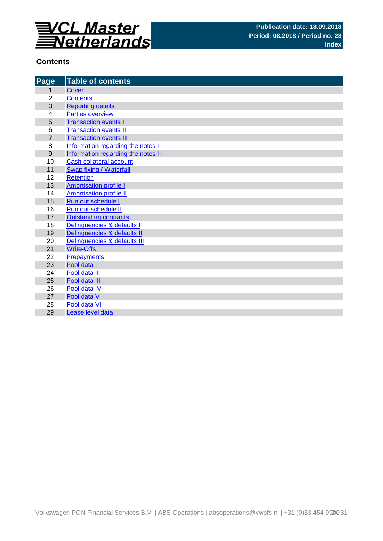

# **Contents**

| Page             | <b>Table of contents</b>           |
|------------------|------------------------------------|
| 1                | Cover                              |
| $\overline{2}$   | <b>Contents</b>                    |
| 3                | <b>Reporting details</b>           |
| 4                | <b>Parties overview</b>            |
| 5                | <b>Transaction events I</b>        |
| 6                | <b>Transaction events II</b>       |
| $\overline{7}$   | <b>Transaction events III</b>      |
| 8                | Information regarding the notes I  |
| $\boldsymbol{9}$ | Information regarding the notes II |
| 10               | Cash collateral account            |
| 11               | Swap fixing / Waterfall            |
| 12               | <b>Retention</b>                   |
| 13               | <b>Amortisation profile I</b>      |
| 14               | <b>Amortisation profile II</b>     |
| 15               | Run out schedule I                 |
| 16               | Run out schedule II                |
| 17               | <b>Outstanding contracts</b>       |
| 18               | Delinquencies & defaults I         |
| 19               | Delinquencies & defaults II        |
| 20               | Delinquencies & defaults III       |
| 21               | <b>Write-Offs</b>                  |
| 22               | <b>Prepayments</b>                 |
| 23               | Pool data I                        |
| 24               | Pool data II                       |
| 25               | Pool data III                      |
| 26               | Pool data IV                       |
| 27               | Pool data V                        |
| 28               | Pool data VI                       |
| 29               | Lease level data                   |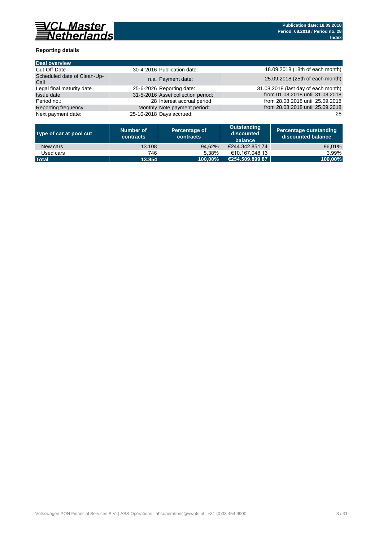

### **Reporting details**

| Deal overview                       |                                    |                                     |
|-------------------------------------|------------------------------------|-------------------------------------|
| Cut-Off-Date                        | 30-4-2016 Publication date:        | 18.09.2018 (18th of each month)     |
| Scheduled date of Clean-Up-<br>Call | n.a. Payment date:                 | 25.09.2018 (25th of each month)     |
| Legal final maturity date           | 25-6-2026 Reporting date:          | 31.08.2018 (last day of each month) |
| Issue date                          | 31-5-2016 Asset collection period: | from 01.08.2018 until 31.08.2018    |
| Period no.:                         | 28 Interest accrual period         | from 28.08.2018 until 25.09.2018    |
| Reporting frequency:                | Monthly Note payment period:       | from 28.08.2018 until 25.09.2018    |
| Next payment date:                  | 25-10-2018 Days accrued:           | 28                                  |

| Type of car at pool cut | Number of<br>contracts | Percentage of<br><b>contracts</b> | Outstanding<br>discounted<br>balance | Percentage outstanding<br>discounted balance |
|-------------------------|------------------------|-----------------------------------|--------------------------------------|----------------------------------------------|
| New cars                | 13.108                 | 94.62%                            | €244.342.851.74                      | 96,01%                                       |
| Used cars               | 746                    | 5.38%                             | €10.167.048.13                       | 3.99%                                        |
| <b>Total</b>            | 13.854                 | 100.00%                           | (€254.509.899.87                     | 100,00%                                      |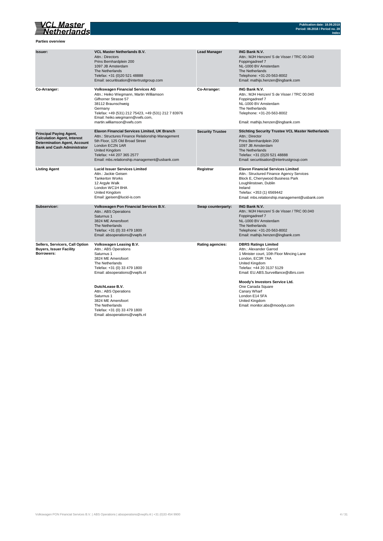# VCL Master<br>Setherlands

**Parties overview**

| <b>Issuer:</b>                                                                                                                                    | <b>VCL Master Netherlands B.V.</b><br>Attn.: Directors<br>Prins Bernhardplein 200<br>1097 JB Amsterdam<br>The Netherlands<br>Telefax: +31 (0)20 521 48888<br>Email: securitisation@intertrustgroup.com                                                               | <b>Lead Manager</b>     | <b>ING Bank N.V.</b><br>Attn.: MJH Henzen/ S de Visser / TRC 00.040<br>Foppingadreef 7<br>NL-1000 BV Amsterdam<br>The Netherlands<br>Telephone: +31-20-563-8002<br>Email: mathijs.henzen@ingbank.com                                         |
|---------------------------------------------------------------------------------------------------------------------------------------------------|----------------------------------------------------------------------------------------------------------------------------------------------------------------------------------------------------------------------------------------------------------------------|-------------------------|----------------------------------------------------------------------------------------------------------------------------------------------------------------------------------------------------------------------------------------------|
| Co-Arranger:                                                                                                                                      | <b>Volkswagen Financial Services AG</b><br>Attn.: Heiko Wiegmann, Martin Williamson<br>Gifhorner Strasse 57<br>38112 Braunschweig<br>Germany<br>Telefax: +49 (531) 212 75423, +49 (531) 212 7 83976<br>Email: heiko.wiegmann@vwfs.com,<br>martin.williamson@vwfs.com | Co-Arranger:            | ING Bank N.V.<br>Attn.: MJH Henzen/ S de Visser / TRC 00.040<br>Foppingadreef 7<br>NL-1000 BV Amsterdam<br>The Netherlands<br>Telephone: +31-20-563-8002<br>Email: mathijs.henzen@ingbank.com                                                |
| <b>Principal Paying Agent,</b><br><b>Calculation Agent, Interest</b><br><b>Determination Agent, Account</b><br><b>Bank and Cash Administrator</b> | <b>Elavon Financial Services Limited, UK Branch</b><br>Attn.: Structures Finance Relationship Management<br>5th Floor, 125 Old Broad Street<br>London EC2N 1AR<br>United Kingdom<br>Telefax: +44 207 365 2577<br>Email: mbs.relationship.management@usbank.com       | <b>Security Trustee</b> | <b>Stichting Security Trustee VCL Master Netherlands</b><br>Attn.: Director<br>Prins Bernhardplein 200<br>1097 JB Amsterdam<br>The Netherlands<br>Telefax: +31 (0)20 521 48888<br>Email: securitisation@intertrustgroup.com                  |
| <b>Listing Agent</b>                                                                                                                              | <b>Lucid Issuer Services Limited</b><br>Attn.: Jackie Geisen<br><b>Tankerton Works</b><br>12 Argyle Walk<br>London WC1H 8HA<br>United Kingdom<br>Email: jgeisen@lucid-is.com                                                                                         | Registrar               | <b>Elavon Financial Services Limited</b><br>Attn.: Structured Finance Agency Services<br>Block E, Cherrywood Business Park<br>Loughlinstown, Dublin<br>Ireland<br>Telefax: +353 (1) 6569442<br>Email: mbs.relationship.management@usbank.com |
| Subservicer:                                                                                                                                      | Volkswagen Pon Financial Services B.V.<br>Attn.: ABS Operations<br>Saturnus 1<br>3824 ME Amersfoort<br>The Netherlands<br>Telefax: +31 (0) 33 479 1800<br>Email: absoperations@vwpfs.nl                                                                              | Swap counterparty:      | <b>ING Bank N.V.</b><br>Attn.: MJH Henzen/ S de Visser / TRC 00.040<br>Foppingadreef 7<br>NL-1000 BV Amsterdam<br>The Netherlands<br>Telephone: +31-20-563-8002<br>Email: mathijs.henzen@ingbank.com                                         |
| Sellers, Servicers, Call Option<br><b>Buyers, Issuer Facility</b><br>Borrowers:                                                                   | Volkswagen Leasing B.V.<br>Attn.: ABS Operations<br>Saturnus 1<br>3824 ME Amersfoort<br>The Netherlands<br>Telefax: +31 (0) 33 479 1800<br>Email: absoperations@vwpfs.nl                                                                                             | <b>Rating agencies:</b> | <b>DBRS Ratings Limited</b><br>Attn.: Alexander Garrod<br>1 Minister court, 10th Floor Mincing Lane<br>London, EC3R 7AA<br>United Kingdom<br>Telefax: +44 20 3137 5129<br>Email: EU.ABS.Surveillance@dbrs.com                                |
|                                                                                                                                                   | DutchLease B.V.<br>Attn.: ABS Operations<br>Saturnus 1<br>3824 ME Amersfoort<br>The Netherlands<br>Telefax: +31 (0) 33 479 1800<br>Email: absoperations@vwpfs.nl                                                                                                     |                         | Moody's Investors Service Ltd.<br>One Canada Square<br>Canary Wharf<br>London E14 5FA<br>United Kingdom<br>Email: monitor.abs@moodys.com                                                                                                     |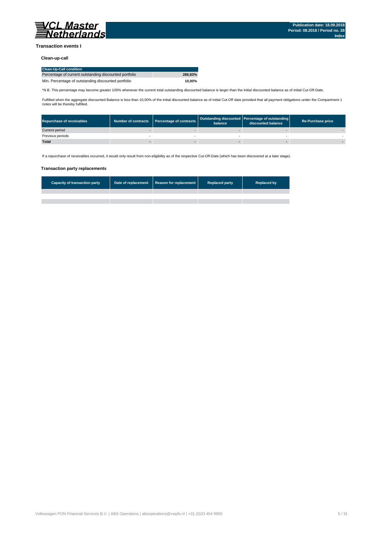

### **Transaction events I**

### **Clean-up-call**

| <b>Clean-Up-Call condition</b>                         |         |
|--------------------------------------------------------|---------|
| Percentage of current outstanding discounted portfolio | 286.83% |
| Min. Percentage of outstanding discounted portfolio    | 10.00%  |

\*N.B. This percentage may become greater 100% whenever the current total outstanding discounted balance is larger than the initial discounted balance as of initial Cut-Off-Date.

Fulfilled when the aggregate discounted Balance is less than 10,00% of the initial discounted balance as of initial Cut-Off date provided that all payment obligations under the Compartment 1 notes will be thereby fulfilled.

| <b>Repurchase of receivables</b> | Number of contracts   Percentage of contracts | balance | Outstanding discounted Percentage of outstanding<br>discounted balance | <b>Re-Purchase price</b> |
|----------------------------------|-----------------------------------------------|---------|------------------------------------------------------------------------|--------------------------|
| Current period                   |                                               |         |                                                                        |                          |
| Previous periods                 |                                               |         |                                                                        |                          |
| <b>Total</b>                     |                                               |         |                                                                        |                          |

If a repurchase of receivables occurred, it would only result from non-eligibility as of the respective Cut-Off-Date (which has been discovered at a later stage).

#### **Transaction party replacements**

| <b>Capacity of transaction party</b> | Date of replacement Reason for replacement | <b>Replaced party</b> | <b>Replaced by</b> |
|--------------------------------------|--------------------------------------------|-----------------------|--------------------|
|                                      |                                            |                       |                    |
|                                      |                                            |                       |                    |
|                                      |                                            |                       |                    |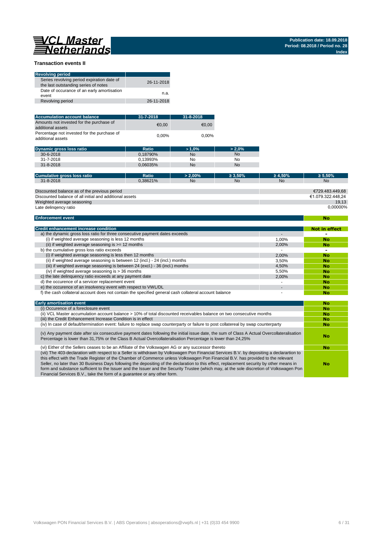**No**

### **Transaction events II**

| <b>Revolving period</b>                                                            |            |
|------------------------------------------------------------------------------------|------------|
| Series revolving period expiration date of<br>the last outstanding series of notes | 26-11-2018 |
| Date of occurance of an early amortisation<br>event                                | n.a.       |
| Revolving period                                                                   | 26-11-2018 |

| <b>Accumulation account balance</b>                              | $31 - 7 - 2018$ | $31 - 8 - 2018$ |
|------------------------------------------------------------------|-----------------|-----------------|
| Amounts not invested for the purchase of<br>additional assets    | €0.00           | €0.00           |
| Percentage not invested for the purchase of<br>additional assets | $0.00\%$        | $0.00\%$        |

| <b>Dynamic gross loss ratio</b> | Ratio    | $>1.0\%$  | $> 2.0\%$ |
|---------------------------------|----------|-----------|-----------|
| $30 - 6 - 2018$                 | 0.18790% | <b>No</b> | <b>No</b> |
| 31-7-2018                       | 0.13993% | No        | No        |
| $31 - 8 - 2018$                 | 0.06035% | <b>No</b> | <b>No</b> |

| Ratio                                                   | $> 2.00\%$     | $\geq 3.50\%$ | $\geq 4.50\%$ | $\geq 5.50\%$     |
|---------------------------------------------------------|----------------|---------------|---------------|-------------------|
| 0.38621%                                                | N <sub>o</sub> | No            | <b>No</b>     | <b>No</b>         |
|                                                         |                |               |               |                   |
|                                                         |                |               |               | €729.483.449.68   |
| Discounted balance of all initial and additional assets |                |               |               | €1.079.322.448.24 |
|                                                         |                |               |               | 19.13             |
|                                                         |                |               |               | 0.00000%          |
|                                                         |                |               |               |                   |

#### **Enforcement event**

| <b>Credit enhancement increase condition</b>                                                          |       | Not in effect |
|-------------------------------------------------------------------------------------------------------|-------|---------------|
| a) the dynamic gross loss ratio for three consecutive payment dates exceeds                           |       |               |
| (i) if weighted average seasoning is less 12 months                                                   | 1.00% | No            |
| (ii) if weighted average seasoning is $\geq$ = 12 months                                              | 2.00% | No            |
| b) the cumulative gross loss ratio exceeds                                                            |       |               |
| (i) if weighted average seasoning is less then 12 months                                              | 2.00% | No            |
| (ii) if weighted average seasoning is between 12 (incl.) - 24 (incl.) months                          | 3.50% | No            |
| (iii) if weighted average seasoning is between 24 (excl.) - 36 (incl.) months                         | 4.50% | No            |
| (iv) if weighted average seasoning is $>$ 36 months                                                   | 5.50% | <b>No</b>     |
| c) the late delinguency ratio exceeds at any payment date                                             | 2.00% | No            |
| d) the occurence of a servicer replacement event                                                      |       | No            |
| e) the occurence of an insolvency event with respect to VWL/DL                                        |       | No            |
| f) the cash collateral account does not contain the specified general cash collateral account balance |       | No            |

| <b>Early amortisation event</b>                                                                                                                                                                                                                                                                                                                                                                                                                                                                                                                                                                                                                    | No |
|----------------------------------------------------------------------------------------------------------------------------------------------------------------------------------------------------------------------------------------------------------------------------------------------------------------------------------------------------------------------------------------------------------------------------------------------------------------------------------------------------------------------------------------------------------------------------------------------------------------------------------------------------|----|
| (i) Occurence of a foreclosure event                                                                                                                                                                                                                                                                                                                                                                                                                                                                                                                                                                                                               | No |
| (ii) VCL Master accumulation account balance > 10% of total discounted receivables balance on two consecutive months                                                                                                                                                                                                                                                                                                                                                                                                                                                                                                                               | No |
| (iii) the Credit Enhancement Increase Condition is in effect                                                                                                                                                                                                                                                                                                                                                                                                                                                                                                                                                                                       | No |
| (iv) In case of default/termination event: failure to replace swap counterparty or failure to post collatereal by swap counterparty                                                                                                                                                                                                                                                                                                                                                                                                                                                                                                                | No |
| (v) Any payment date after six consecutive payment dates following the initial issue date, the sum of Class A Actual Overcollateralisation<br>Percentage is lower than 31,75% or the Class B Actual Overcollateralisation Percentage is lower than 24,25%                                                                                                                                                                                                                                                                                                                                                                                          | No |
| (vi) Either of the Sellers ceases to be an Affiliate of the Volkswagen AG or any successor thereto                                                                                                                                                                                                                                                                                                                                                                                                                                                                                                                                                 | No |
| (vii) The 403-declaration with respect to a Seller is withdrawn by Volkswagen Pon Financial Services B.V. by depositing a declarartion to<br>this effect with the Trade Register of the Chamber of Commerce unless Volkswagen Pon Financial B.V. has provided to the relevant<br>Seller, no later than 30 Business Days following the depositing of the declaration to this effect, replacement security by other means in<br>form and substance sufficient to the Issuer and the Issuer and the Security Trustee (which may, at the sole discretion of Volkswagen Pon<br>Financial Services B.V., take the form of a quarantee or any other form. | No |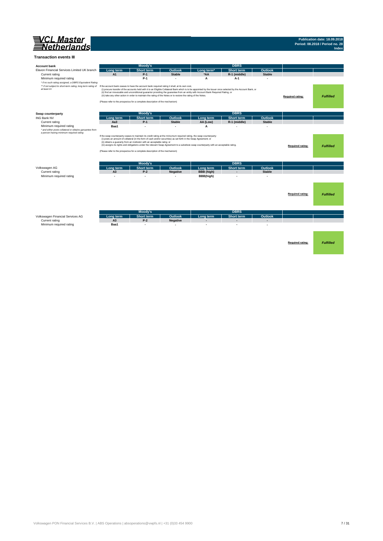

#### **Transaction events III**

| <b>Account bank</b>                                                                                                                                                       |                 | Moody's                                                                      |                                                                                                                                                                                                                                           |                                                                                                                                                                                                                                                                                                    | <b>DBRS</b>              |               |                  |                  |
|---------------------------------------------------------------------------------------------------------------------------------------------------------------------------|-----------------|------------------------------------------------------------------------------|-------------------------------------------------------------------------------------------------------------------------------------------------------------------------------------------------------------------------------------------|----------------------------------------------------------------------------------------------------------------------------------------------------------------------------------------------------------------------------------------------------------------------------------------------------|--------------------------|---------------|------------------|------------------|
| Elavon Financial Services Limited UK branch                                                                                                                               | Long term       | <b>Short term</b>                                                            | Outlook                                                                                                                                                                                                                                   | Long term <sup>*</sup>                                                                                                                                                                                                                                                                             | <b>Short term</b>        | Outlook       |                  |                  |
| Current rating                                                                                                                                                            | A1              | $P-1$                                                                        | <b>Stable</b>                                                                                                                                                                                                                             | *AA                                                                                                                                                                                                                                                                                                | R-1 (middle)             | <b>Stable</b> |                  |                  |
| Minimum required rating<br>* if no such rating assigned, a DBRS Equivalent Rating                                                                                         |                 | $P-1$                                                                        | $\overline{\phantom{a}}$                                                                                                                                                                                                                  | A                                                                                                                                                                                                                                                                                                  | $A-1$                    |               |                  |                  |
| ** if not subject to short-term rating, long term rating of If the account bank ceases to have the account bank required rating it shall, at its own cost,<br>at least A+ |                 | (Please refer to the prospectus for a complete description of the mechanism) | (iii) take any other action in order to maintain the rating of the Notes or to restore the rating of the Notes.                                                                                                                           | (i) procure transfer of the accounts held with it to an Eligible Collateral Bank which is to be appointed by the Issuer once selected by the Account Bank, or<br>(ii) find an irrevocable and unconditional guarantor providing the guarantee from an entity with Account Bank Required Rating, or |                          |               | Required rating: | <b>Fulfilled</b> |
| Swap counterparty                                                                                                                                                         |                 | Moody's                                                                      |                                                                                                                                                                                                                                           |                                                                                                                                                                                                                                                                                                    | <b>DBRS</b>              |               |                  |                  |
| <b>ING Bank NV</b>                                                                                                                                                        | Long term       | <b>Short term</b>                                                            | Outlook                                                                                                                                                                                                                                   | Long term                                                                                                                                                                                                                                                                                          | <b>Short term</b>        | Outlook       |                  |                  |
| Current rating                                                                                                                                                            | Aa <sub>3</sub> | $P-1$                                                                        | <b>Stable</b>                                                                                                                                                                                                                             | AA (Low)                                                                                                                                                                                                                                                                                           | R-1 (middle)             | <b>Stable</b> |                  |                  |
| Minimum required rating<br>* and either posts collateral or obtains garuantee from<br>a person having minimum required rating                                             | Baa1            | $\overline{a}$                                                               | $\overline{\phantom{a}}$                                                                                                                                                                                                                  | A                                                                                                                                                                                                                                                                                                  |                          |               |                  |                  |
|                                                                                                                                                                           |                 | (ii) obtains a guaranty from an instituton with an acceptable ratng; or      | If the swap counterparty ceases to maintain its credit rating at the miniumum required rating, the swap counterparty:<br>(i) posts an amount of collateral (in the form of cash and/or securities) as set forth in the Swap Agreement; or | (iii) assigns its rights and obligations under the relevant Swap Agreement to a substitute swap counterparty with an acceptable rating.                                                                                                                                                            |                          |               | Required rating: | <b>Fulfilled</b> |
|                                                                                                                                                                           |                 | (Please refer to the prospectus for a complete description of the mechanism) |                                                                                                                                                                                                                                           |                                                                                                                                                                                                                                                                                                    |                          |               |                  |                  |
|                                                                                                                                                                           |                 | Moody's                                                                      |                                                                                                                                                                                                                                           |                                                                                                                                                                                                                                                                                                    | <b>DBRS</b>              |               |                  |                  |
| Volkswagen AG                                                                                                                                                             | Long term       | <b>Short term</b>                                                            | Outlook                                                                                                                                                                                                                                   | Long term                                                                                                                                                                                                                                                                                          | Short term               | Outlook       |                  |                  |
| Current rating                                                                                                                                                            | A <sub>3</sub>  | $P-2$                                                                        | <b>Negative</b>                                                                                                                                                                                                                           | BBB (high)                                                                                                                                                                                                                                                                                         | $\overline{\phantom{a}}$ | <b>Stable</b> |                  |                  |
| Minimum required rating                                                                                                                                                   |                 | $\overline{a}$                                                               |                                                                                                                                                                                                                                           | BBB(high)                                                                                                                                                                                                                                                                                          |                          |               |                  |                  |
|                                                                                                                                                                           |                 |                                                                              |                                                                                                                                                                                                                                           |                                                                                                                                                                                                                                                                                                    |                          |               |                  |                  |
|                                                                                                                                                                           |                 |                                                                              |                                                                                                                                                                                                                                           |                                                                                                                                                                                                                                                                                                    |                          |               | Required rating: | <b>Fulfilled</b> |
|                                                                                                                                                                           |                 | Moody's                                                                      |                                                                                                                                                                                                                                           |                                                                                                                                                                                                                                                                                                    | <b>DBRS</b>              |               |                  |                  |
| Volkswagen Financial Services AG                                                                                                                                          | Long term       | <b>Short term</b>                                                            | Outlook                                                                                                                                                                                                                                   | Long term                                                                                                                                                                                                                                                                                          | <b>Short term</b>        | Outlook       |                  |                  |
| Current rating                                                                                                                                                            | A <sub>3</sub>  | $P-2$                                                                        | <b>Negative</b>                                                                                                                                                                                                                           |                                                                                                                                                                                                                                                                                                    |                          |               |                  |                  |
| Minimum required rating                                                                                                                                                   | Baa1            | ٠                                                                            | $\overline{\phantom{a}}$                                                                                                                                                                                                                  |                                                                                                                                                                                                                                                                                                    |                          |               |                  |                  |
|                                                                                                                                                                           |                 |                                                                              |                                                                                                                                                                                                                                           |                                                                                                                                                                                                                                                                                                    |                          |               |                  |                  |
|                                                                                                                                                                           |                 |                                                                              |                                                                                                                                                                                                                                           |                                                                                                                                                                                                                                                                                                    |                          |               |                  |                  |
|                                                                                                                                                                           |                 |                                                                              |                                                                                                                                                                                                                                           |                                                                                                                                                                                                                                                                                                    |                          |               |                  |                  |
|                                                                                                                                                                           |                 |                                                                              |                                                                                                                                                                                                                                           |                                                                                                                                                                                                                                                                                                    |                          |               | Required rating: | <b>Fulfilled</b> |
|                                                                                                                                                                           |                 |                                                                              |                                                                                                                                                                                                                                           |                                                                                                                                                                                                                                                                                                    |                          |               |                  |                  |
|                                                                                                                                                                           |                 |                                                                              |                                                                                                                                                                                                                                           |                                                                                                                                                                                                                                                                                                    |                          |               |                  |                  |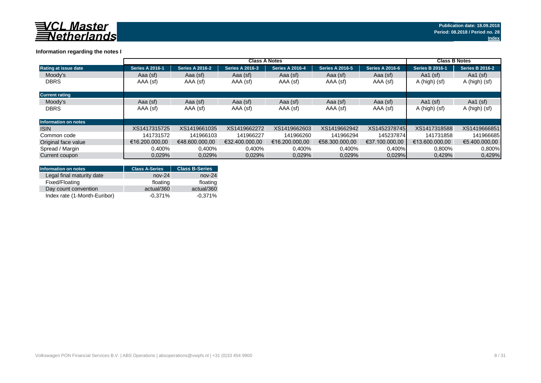

### **Information regarding the notes I**

|                             | <b>Class A Notes</b>   |                        |                        |                        |                        |                        |                        | <b>Class B Notes</b>   |  |
|-----------------------------|------------------------|------------------------|------------------------|------------------------|------------------------|------------------------|------------------------|------------------------|--|
| <b>Rating at issue date</b> | <b>Series A 2016-1</b> | <b>Series A 2016-2</b> | <b>Series A 2016-3</b> | <b>Series A 2016-4</b> | <b>Series A 2016-5</b> | <b>Series A 2016-6</b> | <b>Series B 2016-1</b> | <b>Series B 2016-2</b> |  |
| Moody's                     | Aaa (sf)               | Aaa (sf)               | Aaa (sf)               | Aaa (sf)               | Aaa (sf)               | Aaa (sf)               | Aa1 $(sf)$             | Aa1 $(sf)$             |  |
| <b>DBRS</b>                 | AAA (sf)               | AAA (sf)               | AAA (sf)               | AAA (sf)               | AAA (sf)               | AAA (sf)               | A (high) (sf)          | A (high) (sf)          |  |
| <b>Current rating</b>       |                        |                        |                        |                        |                        |                        |                        |                        |  |
| Moody's                     | Aaa (sf)               | Aaa (sf)               | Aaa (sf)               | Aaa (sf)               | Aaa (sf)               | Aaa (sf)               | Aa1 $(sf)$             | Aa1 $(sf)$             |  |
| <b>DBRS</b>                 | AAA (sf)               | AAA (sf)               | AAA (sf)               | AAA (sf)               | AAA (sf)               | AAA (sf)               | A (high) (sf)          | A (high) (sf)          |  |
| Information on notes        |                        |                        |                        |                        |                        |                        |                        |                        |  |
| <b>ISIN</b>                 | XS1417315725           | XS1419661035           | XS1419662272           | XS1419662603           | XS1419662942           | XS1452378745           | XS1417318588           | XS1419666851           |  |
| Common code                 | 141731572              | 141966103              | 141966227              | 141966260              | 141966294              | 145237874              | 141731858              | 141966685              |  |
| Original face value         | €16.200.000.00         | €48,600,000,00         | €32.400.000.00         | €16.200.000.00         | €58.300.000.00         | €37.100.000.00         | €13.600.000.00         | €5.400.000.00          |  |
| Spread / Margin             | 0,400%                 | 0,400%                 | 0,400%                 | 0,400%                 | 0,400%                 | 0,400%                 | 0,800%                 | 0,800%                 |  |
| Current coupon              | 0.029%                 | 0,029%                 | 0,029%                 | 0.029%                 | 0.029%                 | 0.029%                 | 0,429%                 | 0,429%                 |  |

| <b>Information on notes</b>  | <b>Class A-Series</b> | <b>Class B-Series</b> |
|------------------------------|-----------------------|-----------------------|
| Legal final maturity date    | $nov-24$              | $nov-24$              |
| Fixed/Floating               | floating              | floating              |
| Day count convention         | actual/360            | actual/360            |
| Index rate (1-Month-Euribor) | $-0.371%$             | $-0.371%$             |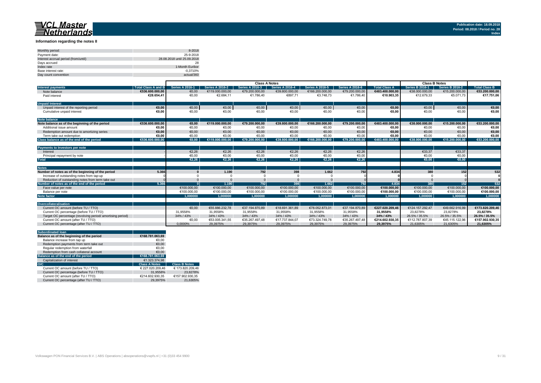#### **Information regarding the notes II**

| Monthly period:                      | 8-2018                      |
|--------------------------------------|-----------------------------|
| Payment date:                        | 25-9-2018                   |
| Interest accrual period (from/until) | 28.08.2018 until 25.09.2018 |
| Davs accrued                         | 28                          |
| Index rate                           | 1-Month Euribor             |
| Base interest rate:                  | $-0.3710%$                  |
| Day count convention                 | actual/360                  |

|                                                           |                            | <b>Class A Notes</b>   |                        |                        |                        |                        | <b>Class B Notes</b>   |                      |                        |                        |                      |
|-----------------------------------------------------------|----------------------------|------------------------|------------------------|------------------------|------------------------|------------------------|------------------------|----------------------|------------------------|------------------------|----------------------|
| <b>Interest payments</b>                                  | <b>Total Class A and B</b> | <b>Series A 2016-1</b> | <b>Series A 2016-2</b> | <b>Series A 2016-3</b> | <b>Series A 2016-4</b> | <b>Series A 2016-5</b> | <b>Series A 2016-6</b> | <b>Total Class A</b> | <b>Series B 2016-1</b> | <b>Series B 2016-2</b> | <b>Total Class B</b> |
| Note balance                                              | €536.600.000,00            | €0,00                  | €119.000.000,00        | €79.200.000,00         | €39.800.000,00         | €166.200.000.00        | €79.200.000,00         | €483.400.000.00      | €38.000.000,00         | €15.200.000,00         | €53.200.000,00       |
| Paid interest                                             | €28.654.41                 | €0,00                  | €2.684,11              | €1.786,40              | €897,71                | €3.748,73              | €1.786.40              | €10.903.35           | €12.679.33             | €5.071.73              | €17.751,06           |
|                                                           |                            |                        |                        |                        |                        |                        |                        |                      |                        |                        |                      |
| <b>Unpaid Interest</b>                                    |                            |                        |                        |                        |                        |                        |                        |                      |                        |                        |                      |
| Unpaid interest of the reporting period                   | €0.00                      | €0,00                  | €0,00                  | €0,00                  | €0,00                  | €0,00                  | €0,00                  | €0,00                | €0,00                  | €0,00                  | €0,00                |
| Cumulative unpaid interest                                | €0.00                      | €0,00                  | €0,00                  | €0,00                  | €0,00                  | €0,00                  | €0,00                  | €0,00                | €0,00                  | €0,00                  | €0,00                |
| <b>Note balance</b>                                       |                            |                        |                        |                        |                        |                        |                        |                      |                        |                        |                      |
| Note balance as of the beginning of the period            | €536.600.000.00            | €0.00                  | €119.000.000.00        | €79.200.000.00         | €39.800.000.00         | €166.200.000.00        | €79.200.000,00         | €483.400.000.00      | €38.000.000.00         | €15.200.000,00         | €53.200.000.00       |
| Additional issue amount                                   | €0,00                      | €0,00                  | €0.00                  | €0,00                  | €0,00                  | €0,00                  | €0,00                  | €0,00                | €0.00                  | €0,00                  | €0,00                |
| Redemption amount due to amortizing series                | €0.00                      | €0.00                  | €0.00                  | €0.00                  | €0.00                  | €0.00                  | €0,00                  | €0.00                | €0.00                  | €0,00                  | €0,00                |
| Term take out redemption                                  | €0.00                      | €0.00                  | €0.00                  | €0.00                  | €0.00                  | €0.00                  | €0,00                  | €0,00                | €0.00                  | €0.00                  | €0,00                |
| Class balance as of the end of the period                 | €536.600.000.00            | €0.00                  | €119.000.000.00        | €79.200.000.00         | €39.800.000.00         | €166.200.000.00        | €79.200.000.00         | €483.400.000.00      | €38.000.000.00         | €15.200.000.00         | €53.200.000.00       |
|                                                           |                            |                        |                        |                        |                        |                        |                        |                      |                        |                        |                      |
| Payments to Investors per note                            |                            |                        |                        |                        |                        |                        |                        |                      |                        |                        |                      |
| Interest                                                  |                            | €2.26                  | €2.26                  | €2.26                  | €2.26                  | €2.26                  | €2,26                  |                      | €33.37                 | €33.37                 |                      |
| Principal repayment by note                               |                            | €0,00                  | €0,00                  | €0,00                  | €0,00                  | €0,00                  | €0,00                  |                      | €0,00                  | €0,00                  |                      |
| <b>Total</b>                                              |                            | E2.26                  | E2.26                  | E2.26                  | £2.26                  | €2.26                  | €2.26                  |                      | €0.00                  | €0.00                  |                      |
|                                                           |                            |                        |                        |                        |                        |                        |                        |                      |                        |                        |                      |
| <b>Notes</b>                                              |                            |                        |                        |                        |                        |                        |                        |                      |                        |                        |                      |
| Number of notes as of the beginning of the period         | 5.366                      |                        | 1.190                  | 792                    | 398                    | 1.662                  | 792                    | 4.834                | 380                    | 152                    | 532                  |
| Increase of outstanding notes from tap-up                 |                            |                        |                        |                        |                        |                        |                        |                      |                        |                        |                      |
| Reduction of outstanding notes from term take out         |                            |                        |                        |                        |                        |                        |                        |                      |                        |                        |                      |
| Number of notes as of the end of the period               | 5.366                      |                        | 1.190                  | 792                    | 398                    | 1.662                  | 792                    | 4.834                | 380                    | 152                    | 532                  |
| Face value per note                                       |                            | €100.000,00            | €100.000,00            | €100.000,00            | €100.000,00            | €100.000,00            | €100.000,00            | €100.000,00          | €100.000,00            | €100.000,00            | €100.000,00          |
| Balance per note                                          |                            | €100.000.00            | €100.000.00            | €100.000.00            | €100.000.00            | €100.000.00            | €100.000.00            | €100.000.00          | €100,000.00            | €100.000.00            | €100.000,00          |
| <b>Note factor</b>                                        |                            | 1.000000               | 1.000000               | 1.000000               | 1.000000               | 1.000000               | 1.000000               | 1.000000             | 1.000000               | 1.000000               | 1.000000             |
|                                                           |                            |                        |                        |                        |                        |                        |                        |                      |                        |                        |                      |
| Overcollateralisation                                     |                            |                        |                        |                        |                        |                        |                        |                      |                        |                        |                      |
| Current OC amount (before TU / TTO)                       |                            | €0.00                  | €55.886.232.78         | €37.194.870.89         | €18.691.361.89         | €78.052.873.01         | €37.194.870.89         | €227.020.209.46      | €124.157.292.47        | €49.662.916.99         | €173.820.209.46      |
| Current OC percentage (before TU / TTO)                   |                            | 31.9558%               | 31.9558%               | 31.9558%               | 31.9558%               | 31.9558%               | 31.9558%               | 31.9558%             | 23.8278%               | 23.8278%               | 23.8278%             |
| Target OC percentage (revolving period/amortising period) |                            | 34% / 43%              | 34% / 43%              | 34% / 43%              | 34% / 43%              | 34% / 43%              | 34% / 43%              | 34% / 43%            | 26.5% / 35.5%          | 26.5% / 35.5%          | 26.5% / 35.5%        |
| Current OC amount (after TU / TTO)                        |                            | €0,00                  | €53.005.341.55         | €35.267.497.48         | €17.737.844,07         | €73.324.749,78         | €35.267.497.48         | €214.602.930.35      | €112.787.807.39        | €45.115.122,96         | €157.902.930,35      |
| Current OC percentage (after TU / TTO)                    |                            | 0.0000%                | 29.3975%               | 29.3975%               | 29.3975%               | 29.3975%               | 29,3975%               | 29.3975%             | 21.6305%               | 21.6305%               | 21.6305%             |

| <b>Subordinated loan</b>                  |                      |                      |
|-------------------------------------------|----------------------|----------------------|
| Balance as of the beginning of the period | €168.781.063.69      |                      |
| Balance increase from tap up              | €0.00                |                      |
| Redemption payments from term take out    | €0.00                |                      |
| Regular redemption from waterfall         | €0.00                |                      |
| Redemption from cash collateral account   | €0.00                |                      |
| Balance as of the end of the period       | €168.781.063.69      |                      |
| Capitalization of interest                | €1.323.374.98        |                      |
| O/C                                       | <b>Class A Notes</b> | <b>Class B Notes</b> |
| Current OC amount (before TU / TTO)       | € 227.020.209.46     | € 173.820.209.46     |
| Current OC percentage (before TU / TTO)   | 31.9558%             | 23.8278%             |
| Current OC amount (after TU / TTO)        | €214.602.930.35      | €157.902.930.35      |
| Current OC percentage (after TU / TTO)    | 29.3975%             | 21.6305%             |
|                                           |                      |                      |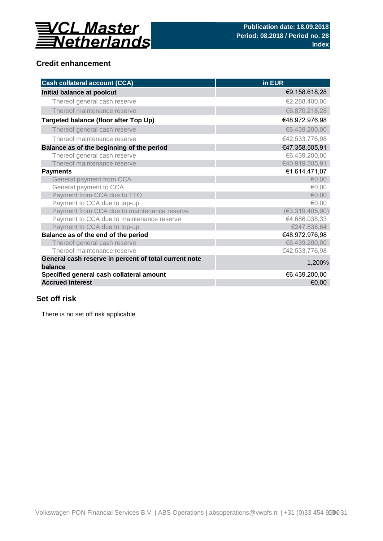

# **Credit enhancement**

| <b>Cash collateral account (CCA)</b>                  | in EUR          |
|-------------------------------------------------------|-----------------|
| Initial balance at poolcut                            | €9.158.618,28   |
| Thereof general cash reserve                          | €2.288.400,00   |
| Thereof maintenance reserve                           | €6.870.218,28   |
| Targeted balance (floor after Top Up)                 | €48.972.976,98  |
| Thereof general cash reserve                          | €6.439.200,00   |
| Thereof maintenance reserve                           | €42.533.776,98  |
| Balance as of the beginning of the period             | €47.358.505,91  |
| Thereof general cash reserve                          | €6.439.200,00   |
| Thereof maintenance reserve                           | €40.919.305,91  |
| <b>Payments</b>                                       | €1.614.471,07   |
| General payment from CCA                              | € $0.00$        |
| General payment to CCA                                | €0,00           |
| Payment from CCA due to TTO                           | € $0,00$        |
| Payment to CCA due to tap-up                          | €0,00           |
| Payment from CCA due to maintenance reserve           | (€3.319.405,90) |
| Payment to CCA due to maintenance reserve             | €4.686.038,33   |
| Payment to CCA due to top-up                          | €247.838,64     |
| Balance as of the end of the period                   | €48.972.976,98  |
| Thereof general cash reserve                          | €6.439.200,00   |
| Thereof maintenance reserve                           | €42.533.776,98  |
| General cash reserve in percent of total current note | 1,200%          |
| balance                                               |                 |
| Specified general cash collateral amount              | €6.439.200,00   |
| <b>Accrued interest</b>                               | €0,00           |

## **Set off risk**

There is no set off risk applicable.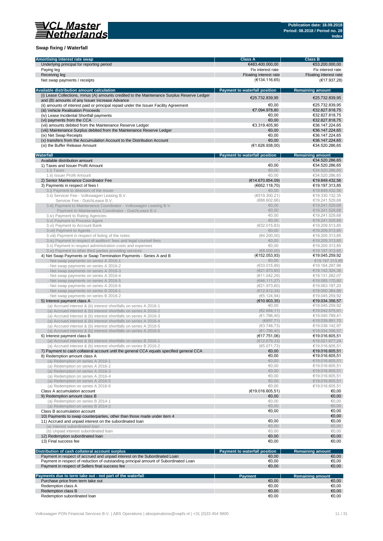

### **Swap fixing / Waterfall**

| Amortising interest rate swap                                                               | <b>Class A</b>                       | <b>Class B</b>          |
|---------------------------------------------------------------------------------------------|--------------------------------------|-------------------------|
| Underlying principal for reporting period                                                   | €483.400.000,00                      | €53.200.000,00          |
| Paying leg                                                                                  | Fix interest rate                    | Fix interest rate       |
|                                                                                             |                                      |                         |
| Receiving leg                                                                               | Floating interest rate               | Floating interest rate  |
| Net swap payments / receipts                                                                | (€134.116,65)                        | (€17.937,28)            |
|                                                                                             |                                      |                         |
| Available distribution amount calculation                                                   | <b>Payment to waterfall position</b> | <b>Remaining amount</b> |
| (i) Lease Collections, minus (A) amounts credited to the Maintenance Surplus Reserve Ledger | €25.732.839,95                       | €25.732.839.95          |
| and (B) amounts of any Issuer Increase Advance                                              |                                      |                         |
| (ii) amounts of interest paid or principal repaid under the Issuer Facility Agreement       | €0,00                                | €25.732.839,95          |
| (iii) Vehicle Realisation Proceeds                                                          | €7.094.978,80                        | €32.827.818,75          |
| (iv) Lease Incidental Shortfall payments                                                    | €0.00                                | €32.827.818,75          |
| (vi) payments from the CCA                                                                  | €0.00                                | €32.827.818,75          |
|                                                                                             | €3.319.405,90                        | €36.147.224,65          |
| (vii) amounts debited from the Maintenance Reserve Ledger                                   |                                      |                         |
| (viii) Maintenance Surplus debited from the Maintenance Reserve Ledger                      | €0,00                                | €36.147.224,65          |
| (ix) Net Swap Receipts                                                                      | €0.00                                | €36.147.224.65          |
| (x) transfers from the Accumulation Account to the Distribution Account                     | €0,00                                | €36.147.224,65          |
| (xi) the Buffer Release Amount                                                              | (E1.626.938,00)                      | €34.520.286,65          |
|                                                                                             |                                      |                         |
| Waterfall                                                                                   | Payment to waterfall position        | <b>Remaining amount</b> |
| Available distribution amount                                                               |                                      | €34.520.286,65          |
| 1) Taxes and Issuer Profit Amount                                                           | €0,00                                | €34.520.286,65          |
| 1.i) Taxes                                                                                  | €0.00                                | €34.520.286,65          |
|                                                                                             | €0,00                                |                         |
| 1.ii) Issuer Profit Amount                                                                  |                                      | €34.520.286,65          |
| 2) Senior Maintenance Coordinator Fee                                                       | (E14.670.854,09)                     | €19.849.432,56          |
| 3) Payments in respect of fees I                                                            | (6552.118,70)                        | €19.197.313,85          |
| 3.i) Payment to directors of the issuer                                                     | €0,00                                | €19.849.432,56          |
| 3.ii) Servicer Fee - Volkswagen Leasing B.V.                                                | (6519.300, 21)                       | €19.330.132,35          |
| Servicer Fee - DutchLease B.V.                                                              | (688.602, 66)                        | €19.241.529.68          |
| 3.iii) Payment to Maintenance Coordinator - Volkswagen Leasing B.V.                         | € $0,00$                             | €19.241.529,68          |
| Payment to Maintenance Coordinator - DutchLease B.V.                                        | €0,00                                | €19.241.529,68          |
|                                                                                             |                                      |                         |
| 3.iv) Payment to Rating Agencies                                                            | €0.00                                | €19.241.529,68          |
| 3.v) Payment to Process Agent                                                               | €0,00                                | €19.241.529,68          |
| 3.vi) Payment to Account Bank                                                               | (€32.015,83)                         | €19.209.513,85          |
| 3. vii) Payment to Agents                                                                   | €0,00                                | €19,209,513,85          |
| 3. viii) Payment in respect of listing of the notes                                         | (€4.200,00)                          | €19.205.313,85          |
| 3.ix) Payment in respect of auditors' fees and legal counsel fees                           | € $0,00$                             | €19.205.313,85          |
| 3.x) Payment in respect administration costs and expenses                                   | €0,00                                | €19.205.313,85          |
|                                                                                             | (68.000, 00)                         | €19.197.313,85          |
| 3.xi) Payment to other third parties providing services                                     |                                      |                         |
| 4) Net Swap Payments or Swap Termination Payments - Series A and B                          | (€152.053,93)                        | €19.045.259,92          |
| - Net swap payments on series A 2016-1                                                      | €0,00                                | €19.197.313,85          |
| - Net swap payments on series A 2016-2                                                      | (E33.015, 89)                        | €19.164.297,96          |
| - Net swap payments on series A 2016-3                                                      | (E21.973,60)                         | €19.142.324,36          |
| - Net swap payments on series A 2016-4                                                      | (€11.042,29)                         | €19.131.282,07          |
| - Net swap payments on series A 2016-5                                                      | (646.111,27)                         | €19.085.170,80          |
| - Net swap payments on series A 2016-6                                                      | (E21.973,60)                         | €19.063.197,20          |
|                                                                                             |                                      |                         |
| - Net swap payments on series B 2016-1                                                      | (E12.812.34)                         | €19.050.384,86          |
| - Net swap payments on series B 2016-2                                                      | (65.124, 94)                         | €19.045.259,92          |
| 5) Interest payment class A                                                                 | (E10.903, 35)                        | €19.034.356,57          |
| (a) Accrued interest & (b) interest shortfalls on series A 2016-1                           | €0,00                                | €19.045.259,92          |
| (a) Accrued interest & (b) interest shortfalls on series A 2016-2                           | (E2.684, 11)                         | €19.042.575,81          |
| (a) Accrued interest & (b) interest shortfalls on series A 2016-3                           | (€1.786,40)                          | €19.040.789,41          |
| (a) Accrued interest & (b) interest shortfalls on series A 2016-4                           | (E897,71)                            | €19.039.891,70          |
| (a) Accrued interest & (b) interest shortfalls on series A 2016-5                           | (63.748, 73)                         | €19.036.142.97          |
|                                                                                             |                                      |                         |
| (a) Accrued interest & (b) interest shortfalls on series A 2016-6                           | (€1.786,40)                          | €19.034.356.57          |
| 6) Interest payment class B                                                                 | (E17.751,06)                         | €19.016.605.51          |
| (a) Accrued interest & (b) interest shortfalls on series B 2016-1                           | (E12.679, 33)                        | €19.021.677,24          |
| (a) Accrued interest & (b) interest shortfalls on series B 2016-2                           | (65.071, 73)                         | €19.016.605,51          |
| 7) Payment to cash collateral account until the general CCA equals specified general CCA    | €0,00                                | €19.016.605,51          |
| 8) Redemption amount class A                                                                | €0,00                                | €19.016.605,51          |
| (a) Redemption on series A 2016-1                                                           | €0,00                                | €19.016.605,51          |
| (a) Redemption on series A 2016-2                                                           | €0,00                                | €19.016.605,51          |
|                                                                                             |                                      |                         |
| (a) Redemption on series A 2016-3                                                           | €0,00                                | €19.016.605,51          |
| (a) Redemption on series A 2016-4                                                           | €0,00                                | €19.016.605,51          |
| (a) Redemption on series A 2016-5                                                           | €0,00                                | €19.016.605,51          |
| (a) Redemption on series A 2016-6                                                           | €0,00                                | €19.016.605,51          |
| Class A accumulation account                                                                | (E19.016.605, 51)                    | €0,00                   |
| 9) Redemption amount class B                                                                | €0,00                                | €0,00                   |
| (a) Redemption on series B 2014-1                                                           | €0,00                                | €0,00                   |
| (a) Redemption on series B 2014-2                                                           | €0,00                                | €0,00                   |
|                                                                                             |                                      |                         |
| Class B accumulation account                                                                | €0,00                                | €0,00                   |
| 10) Payments to swap counterparties, other than those made under item 4                     |                                      | €0,00                   |
| 11) Accrued and unpaid interest on the subordinated loan                                    | €0,00                                | €0,00                   |
| (a) Interest subordinated loan                                                              | €0,00                                | €0,00                   |
| (b) Unpaid interest subordinated loan                                                       | €0,00                                | €0,00                   |
| 12) Redemption subordinated loan                                                            | €0,00                                | €0,00                   |
| 13) Final success fee                                                                       | €0,00                                | €0,00                   |
|                                                                                             |                                      |                         |
|                                                                                             |                                      |                         |
| Distribution of cash collateral account surplus                                             | Payment to waterfall position        | <b>Remaining amount</b> |
| Payment in respect of accrued and unpaid interest on the Subordinated Loan                  | €0,00                                | €0,00                   |
| Payment in respect of reduction of outstanding principal amount of Subordinated Loan        | €0,00                                | €0,00                   |
| Payment in respect of Sellers final success fee                                             | €0,00                                | €0,00                   |
|                                                                                             |                                      |                         |
| Payments due to term take out - not part of the waterfall                                   | <b>Payment</b>                       | <b>Remaining amount</b> |
| Purchase price from term take out                                                           | €0,00                                | €0,00                   |
| Redemption class A                                                                          | €0,00                                | €0,00                   |
| Redemption class B                                                                          | €0,00                                | €0,00                   |
|                                                                                             |                                      |                         |
| Redemption subordinated loan                                                                | €0,00                                | €0,00                   |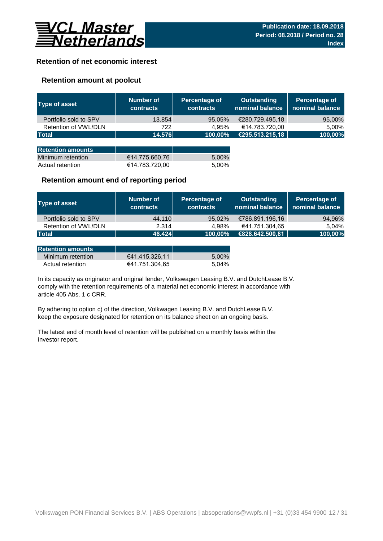

### **Retention of net economic interest**

### **Retention amount at poolcut**

| <b>Type of asset</b>     | Number of<br><b>contracts</b> | Percentage of<br><b>contracts</b> | <b>Outstanding</b><br>nominal balance | Percentage of<br>nominal balance |
|--------------------------|-------------------------------|-----------------------------------|---------------------------------------|----------------------------------|
| Portfolio sold to SPV    | 13.854                        | 95,05%                            | €280.729.495,18                       | 95,00%                           |
| Retention of VWL/DLN     | 722                           | 4.95%                             | €14.783.720,00                        | 5,00%                            |
| <b>Total</b>             | 14.576                        | 100,00%                           | €295.513.215,18                       | 100,00%                          |
|                          |                               |                                   |                                       |                                  |
| <b>Retention amounts</b> |                               |                                   |                                       |                                  |
| Minimum retention        | €14.775.660,76                | 5,00%                             |                                       |                                  |
| Actual retention         | €14.783.720,00                | 5.00%                             |                                       |                                  |

### **Retention amount end of reporting period**

| Type of asset         | Number of<br><b>contracts</b> | Percentage of<br><b>contracts</b> | <b>Outstanding</b><br>nominal balance | Percentage of<br>nominal balance |
|-----------------------|-------------------------------|-----------------------------------|---------------------------------------|----------------------------------|
| Portfolio sold to SPV | 44.110                        | 95.02%                            | €786.891.196,16                       | 94,96%                           |
| Retention of VWL/DLN  | 2.314                         | 4.98%                             | €41.751.304,65                        | 5.04%                            |
| <b>Total</b>          | 46.424                        | 100,00%                           | €828.642.500,81                       | 100,00%                          |

| <b>Retention amounts</b> |                |       |
|--------------------------|----------------|-------|
| Minimum retention        | €41.415.326.11 | 5.00% |
| Actual retention         | €41.751.304.65 | 5.04% |

article 405 Abs. 1 c CRR. In its capacity as originator and original lender, Volkswagen Leasing B.V. and DutchLease B.V. comply with the retention requirements of a material net economic interest in accordance with

By adhering to option c) of the direction, Volkwagen Leasing B.V. and DutchLease B.V. keep the exposure designated for retention on its balance sheet on an ongoing basis.

The latest end of month level of retention will be published on a monthly basis within the investor report.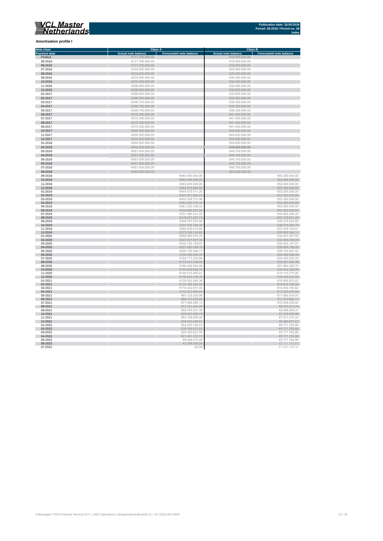**Amortisation profile I**

#### **Class A Class B Class B Class B Class B Class B Class B Class B Class B Class B Eq. 1 Note class** T. **Payment date and the Sale of the Case of the Sale of the Sale of the Sale of the Sale of the Sale of the Sale of the Sale of the Sale of the Sale of the Sale of the Sale of the Sale of the Sale of the Sale of the Sale of** Poolcut ∈19.000.000,00 ∈171.700.000,00 ∈171.700.000,00 ∈19.000.000,00 ∈19.000.000,00 ∈19.000.000,00 ∈19.000.000,00 ∈19.000.000,00 ∈19.000.000,00 ∈19.000.000,00 ∈19.000.000,00 ∈19.000.000,00 ∈19.000.000,00 ∈19.000.000,00 ∈ r  $\begin{array}{cccccccc} \textbf{06-2016} & & & & & & \in 171.700.000,00 & & & & & & & \in 19.000.000,00 \\ \textbf{07-2016} & & & & & & \in 233.200.000,00 & & & & & & \in 235.00000,00 \\ \textbf{08-2016} & & & & & & & \in 233.200.000,00 & & & & & & \in 235.00000,00 \\ \textbf{09-2016} & & & & & & & \in 235.00000,000 & &$ 07-2016 €233.200.000,00 €25.800.000,00 08-2016 €233.200.000,00 €25.800.000,00 09-2016 €275.000.000,00 €30.400.000,00 Ì. 10-2016 €275.000.000,00 €30.400.000,00 11-2016 €296.600.000,00 €32.800.000,00 11-2016<br>  $(2.2016$ <br>  $(2.2017)$ <br>  $(2.2017)$ <br>  $(2.2017)$ <br>  $(2.2017)$ <br>  $(2.2017)$ <br>  $(2.2017)$ <br>  $(2.2010,000,00)$ <br>  $(2.2010,000,00)$ <br>  $(2.2010,000,00)$ <br>  $(2.2010,000,00)$ <br>  $(2.2010,000,00)$ <br>  $(2.2010,000,00)$ <br>  $(2.2010,000,0$ 12-2016 €296.600.000,00 €32.800.000,00 01-2017 €296.600.000,00 €32.800.000,00  $6346.700.000,00$  ∈38.300.000,00 ∈38.300.000,00 × 0**4-2017** €38.300.000,00 €346.700.000,00 €346.700.000,00 €38.300.000,00 €38.300.000,00 €38.300.000,00 €38.300.000,00<br>05-2017 €38.300.000,00 €346.700.000,00 €346.700.000,00 €346.700.000,00 €346.700 €38.300.000,00 €38.300.0 Ì. 06-2017 €375.300.000,00 €41.400.000,00  $\epsilon$ 375.300.000,00  $\epsilon$  (and the set of  $\epsilon$ 41.400.000,00  $\epsilon$ 0**8-2017 ∈**41.400.000,00 ∈375.300.000,00 ∈375.300.000,00 ∈41.400.000,00 ∈41.400.000,00 ∈41.400.000,00 ∈41.400.000,00 ∈41.400.000,00 ∈41.400.000,00 ∈41.400.000,00 ∈41.400.000,00 ∈41.400.000,00 ∈41.400.000,00 ∈41.400.000,00 п 10-2017 €404.500.000,00 €44.600.000,00 11-2017 €404.500.000,00 €404.500.000,00 €404.500.000,00 €404.500.000,00 €404.500.000,00 €44.600.000,00 €44.600.000,00 Ì. 12-2017 €404.500.000,00 €404.500.000,00 €404.500.000,00 €404.500.000,00 €44.600.000,00 €44.600.000,00  $01-2018$  ∈404.500.000,00 ∈404.500.000,00 ∈404.500.000,00 ∈404.600.000,00 × 02-2018 €404.500.000,00 **€44.600.000,00** 03-2018 €451.400.000,00 €49.700.000,00 п 04-2018 €451.400.000,00 €49.700.000,00  $65-2018$  ∈451.400.000,00 ∈451.400.000,00 ∈451.400.000,00 ∈49.700.000,00 × 06-2018 €49.700.000,00 €451.400.000,00 € 451.400.000,00 € 5451.400.000,00 € 5451.400.000,00 € 549.700.000,00 0**7-2018 €451.400.000,00 €451.400.000,00**<br>**08-2018 €53.200.000,00 €6483.400.000,00** € €483.400.000,00 € €53.200.000,00 € €53.200.000,00 Ė  $09-2018$  ∈53.200.000,00 ∈ €53.200.000,00 ∈ €483.400.000,00 ∈ €53.200.000,00 ∈ €53.200.000,00 10-2018 ∈53.200.000,00 ∈53.200.000,00 ∈53.200.000,00 ∈53.200.000,00 ∈53.200.000,00 ∈53.200.000,00 11-2018 ∈53.200.000,00 ∈53.200.000,00 ∈ €483.400.000,00 ∈ €483.400.000,00 ∈ €53.200.000,00 12-2018 €464.076.894,52 €53.200.000,00  $6444.515.411,20$  ∈53.200.000,00 ∈ €53.200.000,00 п 02-2019 €53.200.000,00 €53.200.000,00 €624.251.960,07 € 6424.251.960,07 € 6424.251.960,07 € 653.200.000,00  $03-2019$  ∈53.200.000,00 i. 04-2019 €383.260.732,18 €53.200.000,00  $0.2019$  ∈53.200.000,000,000 ∈53.200.000,000 ∈53.200.000,000 ∈53.200.000,000 ∈53.200.000,000 ∈53.200.000,000 ∈53.200.000,00 ×. 06-2019 €344.006.907,58 €53.200.000,00  $07$ -2019 ∈44.925.492,05 ∈44.925.492,05 × 08-2019 €319.973.327,73 €41.735.651,44  $09-2019$  ∈40.274.024,82 i. 10-2019 €297.300.788,38 €38.778.363,70 11-2019 ∈37.244.140,51 ∈ €37.244.140,51 ∈ €37.244.140,51 ∈ €37.244.140,51 ∈ €37.244.140,51 ∈ €37.244.140,51 ∈ €37.244.140,51 ∈ ∈ 57.244.140,51 ∈ 57.244.140,51 ∈ 57.244.140,51 ∈ 57.244.140,51 ∈ 57.244.140,51 ∈ 57.244.140, ÷ 12-2019 €273.166.124,85 €35.630.364,11 01-2020 ∈34.041.257,05 €34.041.257,05 €34.041.257,05 €34.041.257,05 €34.041.257,05 €34.041.257,05 €34.041.257,05 n. 02-2020 €32.308.390,09 €32.308.390,09 €32.308.390,09 €347.697.657,39  $\blacksquare$  $03-2020$  €30.364.197,87 €30.364.197,87 Ì. 04-2020 €28.885.198,45 €28.885.198,45 €28.885.198,45 €28.885.198,45 €28.885.198,45 €28.885.198,45 €28.885.198,45 05-2020 €205.120.496,71 €26.754.847,40 × 06-2020 €25.482.556,49  $\in$  5.56,49  $\in$  5.56,49  $\in$  5.366.266,45  $\in$  5.366.266,45  $\in$  5.366.265,45  $\in$  5.56,49  $\in$  5.56,49  $\in$  5.56,49  $\in$  5.56,49  $\in$  5.56,49  $\in$  5.56,49  $\in$  5.56,49  $\in$  5.56,49  $\in$  5.56,49  $07$ -2020 ∈24.093.552,24 r. 08-2020 €22.887.804,38 € 20.887.804,38 € 20.887.804,38 € 30.94 € 30.94 € 30.94 € 30.94 € 30.94 € 30.94 € 30.94 € 30.94 € 30.94 € 30.94 € 30.94 € 30.94 € 30.94 € 30.95 € 30.94 € 30.95 € 30.95 € 30.95 € 30.95 € 30.95 € 30.  $09-2020$  ∈21.684.382,70 п 10-2020 €155.958.062,19 €20.342.355,94 11-2020 €146.515.906,81 €19.110.770,45 × 12-2020 €138.283.160,30 €18.036.933,95 01-2021 ∈129.520.080,36 ∈129.520.080,36 ∈129.520.080,36 ∈129.520.080,36 ∈129.520.080,36 ∈16.893.923,52 02-2021 €15.676.769,08 €120.188.562,95 €120.188.562,95 €120.188.562,95 €120.188.562,95 €15.676.769,08  $03-2021$  ∈ 14.404.180,62 04-2021 €102.222.686,83 €13.333.393,93  $05$ - $2021$  ∈91.123.200,96 ∈91.123.200,96 ∈91.123.200,96 ∈91.123.200,96 ∈91.123.200,96 ∈91.123.200,96 ∈91.123.200,96 ∈91.123.200,96 ∈91.123.200,96 ∈91.123.200,96 ∈91.123.200,96 ∈91.123.200,96 ∈91.123.200,96 ∈91.123.200,9 06-2021 ∈11.010.682,17 ∈11.010.682,17 ∈11.010.682,17 ∈11.010.682,17  $07-2021$  ∈10.056.090,80 ∈ €77.096.696,13 08-2021  $\epsilon$ 71.141.405,46  $\epsilon$ 71.141.405,46  $\epsilon$ 71.141.405,46  $\epsilon$ 9.279.313,76  $\epsilon$ 9.279.313,76  $09-2021$  ∈65.079.031,38  $\epsilon$ 65.079.031,38 ∈8.488.569,31 ∈8.488.569,31 ∈8.488.569,31 ∈8.488.569,31 ∈8.488.569,31 ∈8.488.569,31 ∈8.488.569,31 ∈8.488.569,31 ∈8.488.569,31 ∈8.488.569,31 ∈8.488.569,31 ∈8.488.569,31 ∈8.488.56 10-2021 €7.769.099,96 €7.769.099,96 €7.769.099,96 €7.769.099,96 €89.563.099,70 € 7.769.099,96 € 7.769.099,96 € 11-2021 €7.017.216,32 12-2021 €6.380.673,47 €6.380.673,47 €6.380.673,47 €6.390.673,47 €6.390.673,47 €6.390.673,47 01-2022 ∈5.771.762,88 02-2022 €35.508.072,52 €5.771.762,88  $03$ -2022 ∈5.771.762,88 I. 04-2022 €21.461.722,72 €5.771.762,88  $65.2022$  ∈9.006.915,49  $\epsilon$ 9.006.915,49  $\epsilon$ 9.006.915,49  $\epsilon$ 9.006.915,49  $\epsilon$ 5.771.762,88 ÷ 06-2022  $\epsilon$ 2.796.000,26  $\epsilon$ 2.796.000,26  $\epsilon$ 2.796.000,26  $\epsilon$ 2.796.000,26  $\epsilon$

 $07-2022$  ∈1.897.536,92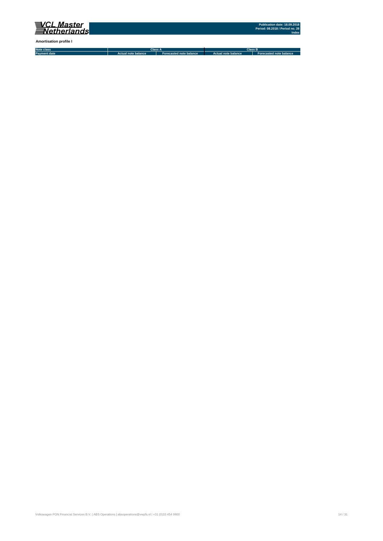

**Amortisation profile I**

**Note class Payment date Actual note balance Forecasted note balance Actual note balance2 Forecasted note balance3 Class A Class B**

Volkswagen PON Financial Services B.V. | ABS Operations | absoperations@vwpfs.nl | +31 (0)33 454 9900 14 / 31 (9) 14 / 31 (9) 14 / 31 (9) 14 / 31 (9) 14 / 31 (9) 14 / 31 (9) 14 / 31 (9) 14 / 31 (9) 14 / 31 (9) 14 / 31 (9)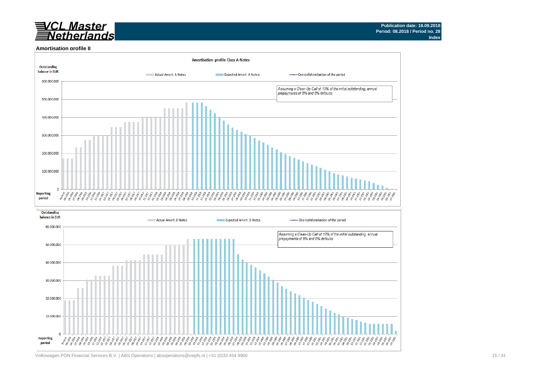# *VCL Master*<br>TNetherlands

#### **Amortisation profile II**

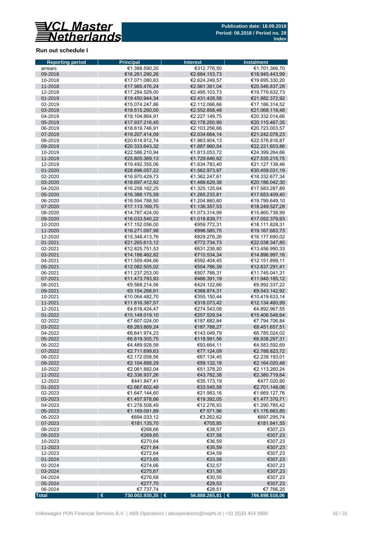

### **Run out schedule I**

| <b>Reporting period</b> | <b>Principal</b>                 | <b>Interest</b>                | <b>Instalment</b>                |
|-------------------------|----------------------------------|--------------------------------|----------------------------------|
| arrears                 | €1.388.590,20                    | €312.776,50                    | €1.701.366,70                    |
| 09-2018<br>10-2018      | €16.261.290,26                   | €2.684.153,73                  | €18.945.443,99                   |
| 11-2018                 | €17.071.080,63<br>€17.985.476,24 | €2.624.249,57<br>€2.561.361,04 | €19.695.330,20<br>€20.546.837,28 |
| 12-2018                 | €17.284.529,00                   | €2.495.103,73                  | €19.779.632,73                   |
| 01-2019                 | €19.450.944,34                   | €2.431.428,58                  | €21.882.372,92                   |
| 02-2019                 | €15.074.247,86                   | €2.112.066.66                  | €17.186.314,52                   |
| 03-2019                 | €18.515.260,00                   | €2.552.858,48                  | €21.068.118,48                   |
| 04-2019                 | €18.104.864,91                   | €2.227.149,75                  | €20.332.014,66                   |
| 05-2019                 | €17.937.216,45                   | €2.178.250,90                  | €20.115.467,35                   |
| 06-2019                 | €18.619.746,91                   | €2.103.256,66                  | €20.723.003.57                   |
| 07-2019                 | €19.207.414,09                   | €2.034.664,14                  | €21.242.078,23                   |
| 08-2019                 | €20.614.912,74                   | €1.963.904,13                  | €22.578.816,87                   |
| 09-2019                 | €20.333.643,32                   | €1.887.960,54                  | €22.221.603,86                   |
| 10-2019                 | €22.586.210,94                   | €1.813.053,72                  | €24.399.264,66                   |
| 11-2019<br>12-2019      | €25.805.369,13<br>€19.492.355,06 | €1.729.846,62<br>€1.634.783,40 | €27.535.215,75<br>€21.127.138,46 |
| 01-2020                 | €28.896.057,22                   | €1.562.973,97                  | €30.459.031,19                   |
| 02-2020                 | €16.970.429,73                   | €1.362.247,61                  | €18.332.677,34                   |
| 03-2020                 | €18.697.412,92                   | €1.488.629,38                  | €20.186.042,30                   |
| 04-2020                 | €16.258.162,25                   | €1.325.125,64                  | €17.583.287,89                   |
| 05-2020                 | €16.388.175,59                   | €1.265.233,81                  | €17.653.409,40                   |
| 06-2020                 | €18.594.788,50                   | €1.204.860,60                  | €19.799.649,10                   |
| 07-2020                 | €17.113.169,75                   | €1.136.357,53                  | €18.249.527,28                   |
| 08-2020                 | €14.787.424,00                   | €1.073.314,99                  | €15.860.738,99                   |
| 09-2020                 | €16.033.540,22                   | €1.018.839,71                  | €17.052.379,93                   |
| 10-2020                 | €17.152.056,00                   | €959.772,31                    | €18.111.828,31                   |
| 11-2020                 | €18.271.097,98                   | €896.585,75                    | €19.167.683,73                   |
| 12-2020                 | €15.348.413,76                   | €829.276,26                    | €16.177.690.02                   |
| 01-2021<br>02-2021      | €21.265.613,12<br>€12.825.751,53 | €772.734,73<br>€631.238,80     | €22.038.347,85<br>€13.456.990,33 |
| 03-2021                 | €14.186.462,82                   | €710.534,34                    | €14.896.997,16                   |
| 04-2021                 | €11.559.494,66                   | €592.404,45                    | €12.151.899,11                   |
| 05-2021                 | €12.082.505,02                   | €554.786,39                    | €12.637.291,41                   |
| 06-2021                 | €11.237.253,00                   | €507.788,31                    | €11.745.041,31                   |
| 07-2021                 | €11.473.793,93                   | €466.391,19                    | €11.940.185,12                   |
| 08-2021                 | €9.568.214,56                    | €424.122,66                    | €9.992.337,22                    |
| 09-2021                 | €9.154.268,61                    | €388.874,31                    | €9.543.142,92                    |
| 10-2021                 | €10.064.482,70                   | €355.150,44                    | €10.419.633,14                   |
| 11-2021                 | €11.816.387,57                   | €318.073,42                    | €12.134.460,99                   |
| 12-2021                 | €4.618.424,47                    | €274.543,08                    | €4.892.967,55                    |
| 01-2022                 | €15.149.019,10                   | €257.529,54                    | €15.406.548,64                   |
| 02-2022                 | €7.607.024,00                    | €187.682,84                    | €7.794.706,84<br>€8.451.657,51   |
| 03-2022<br>04-2022      | €8.263.869,24<br>€6.641.974,23   | €187.788,27<br>€143.049,79     | €6.785.024,02                    |
| 05-2022                 | €6.819.305,75                    | €118.991,56                    | €6.938.297,31                    |
| 06-2022                 | €4.489.928,58                    | €93.664,11                     | €4.583.592,69                    |
| 07-2022                 | €2.711.699,63                    | €77.124,09                     | €2.788.823,72                    |
| 08-2022                 | €2.172.058,56                    | €67.134,45                     | €2.239.193,01                    |
| 09-2022                 | €2.104.888,29                    | €59.132,19                     | €2.164.020,48                    |
| 10-2022                 | €2.061.882,04                    | €51.378,20                     | €2.113.260,24                    |
| 11-2022                 | €2.336.937,26                    | €43.782,38                     | €2.380.719,64                    |
| 12-2022                 | €441.847,41                      | €35.173,19                     | €477.020,60                      |
| 01-2023                 | €2.667.602,48                    | €33.545,58                     | €2.701.148,06                    |
| 02-2023                 | €1.647.144,60                    | €21.983,16                     | €1.669.127,76                    |
| 03-2023                 | €1.457.978,66                    | €19.392,05                     | €1.477.370,71                    |
| 04-2023                 | €1.278.508,49                    | €12.276,93                     | €1.290.785,42                    |
| 05-2023<br>06-2023      | €1.169.091,89<br>€694.033,12     | €7.571,96<br>€3.262,62         | €1.176.663,85<br>€697.295,74     |
| 07-2023                 | €181.135,70                      | €705,85                        | €181.841,55                      |
| 08-2023                 | €268,66                          | €38,57                         | €307,23                          |
| 09-2023                 | €269,65                          | €37,58                         | €307,23                          |
| 10-2023                 | €270,64                          | €36,59                         | €307,23                          |
| 11-2023                 | €271,64                          | €35,59                         | €307,23                          |
| 12-2023                 | €272,64                          | €34,59                         | €307,23                          |
| 01-2024                 | €273,65                          | €33,58                         | €307,23                          |
| 02-2024                 | €274,66                          | €32,57                         | €307,23                          |
| 03-2024                 | €275,67                          | €31,56                         | €307,23                          |
| 04-2024                 | €276,68                          | €30,55                         | €307,23                          |
| 05-2024                 | €277,70                          | €29,53                         | €307,23                          |
| 06-2024                 | €7.737,74                        | €28,51<br>56.888.265,81 €      | €7.766,25<br>786.698.516,06      |
| <b>Total</b>            | €<br>730.002.930,35   €          |                                |                                  |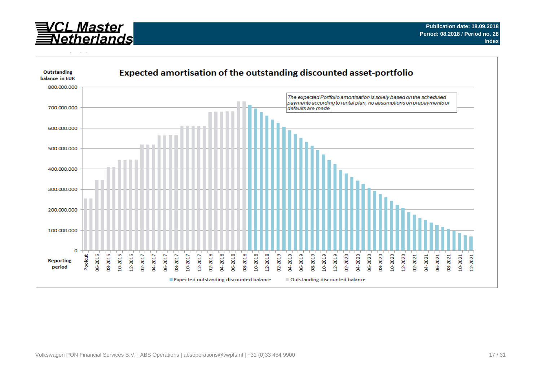

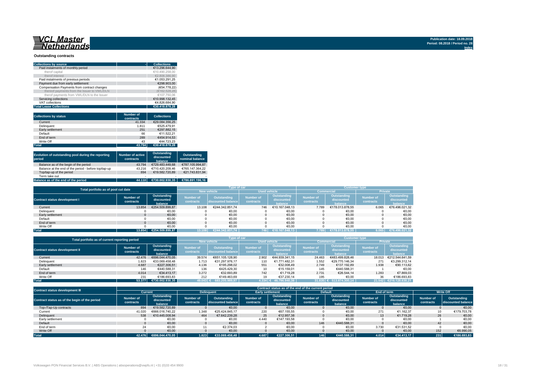# <u>WCL Master</u><br>ENetherlands

#### **Outstanding contracts**

| <b>Collections by source</b>                | <b>Collections</b> |
|---------------------------------------------|--------------------|
| Paid instalments of monthly period          | €13.296.644.90     |
| therof capital                              | €10.490.258.00     |
| therof interest                             | €2.806.386.90      |
| Paid instalments of previous periods        | €1.053.291.25      |
| Payment due from early settlement           | €298.903.00        |
| Compensation Payments from contract changes | (€54.778.22)       |
| thereof payments from the Issuer to VWL/DLN | (€162.528.28)      |
| therof payments from VWL/DLN to the Issuer  | €107.750.06        |
| Servicing collections                       | €10.998.132.45     |
| VAT collections                             | €4.826.684.90      |
| <b>Total Lease Collections</b>              | €30.418.878.28     |

| <b>Collections by status</b> | <b>Number of</b><br>contracts | <b>Collections</b> |
|------------------------------|-------------------------------|--------------------|
| Current                      | 41.334                        | €29.084.356.25     |
| Delinguent                   | 1.811                         | €525.479.91        |
| Early settlement             | 251                           | €297.882.15        |
| Default                      | 66                            | €11.522.21         |
| End of term                  | 289                           | €454.914.53        |
| Write Off                    | 43                            | €44.723.23         |
| <b>Total</b>                 | 43.794                        | €30,418,878,28     |

| Evolution of outstanding pool during the reporting<br>period | <b>Number of active</b><br>contracts | Outstanding<br>discounted<br>balance | Outstanding<br>nominal balance |
|--------------------------------------------------------------|--------------------------------------|--------------------------------------|--------------------------------|
| Balance as of the begin of the period                        | 43.794                               | €729.483.449.68                      | €787.105.994.87                |
| Balance at the end of the period - before top/tap-up         | 43.216                               | €710.420.209.46                      | €765.147.364.22                |
| Top/tap-up of the period                                     | 894                                  | €19.582.720.89                       | €21.743.831.94                 |
| Term take out                                                | $\overline{\phantom{a}}$             | ٠                                    |                                |
| Balance as of the end of the period                          | 44.110                               | €730.002.930.35                      | €786.891.196.16                |

| Total portfolio as of pool cut date  |           | <b>Type of car</b>     |                  |                     | <b>Customer type</b> |                |                   |                 |                  |                    |
|--------------------------------------|-----------|------------------------|------------------|---------------------|----------------------|----------------|-------------------|-----------------|------------------|--------------------|
|                                      |           | <b>New vehicle</b>     |                  | <b>Used vehicle</b> |                      |                | <b>Commercial</b> | <b>Private</b>  |                  |                    |
|                                      | Number of | Outstanding            | <b>Number of</b> | Outstanding         | <b>Number of</b>     | Outstanding    | <b>Number of</b>  | Outstanding     | <b>Number of</b> | <b>Outstanding</b> |
| <b>Contract status development I</b> | contracts | discounted             | contracts        | discounted balance  | contracts            | discounted     | contracts         | discounted      | contracts        | discounted         |
|                                      |           | balance                |                  |                     |                      | halance        |                   | halance         |                  | balance            |
| Current                              | 13.854    | €254.509.899.87        | 13.108           | €244.342.851.74     | 746                  | €10.167.048.13 | 7.789             | €178.013.878.55 | 6.065            | €76.496.021.32     |
| Delinquent                           |           | €0,00                  |                  | €0,00               |                      | €0,00          |                   | €0,00           |                  | €0,00              |
| Early settlement                     |           | €0,00                  |                  | €0,00               |                      | €0,00          |                   | €0,00           |                  | €0,00              |
| Default                              |           | €0,00                  |                  | €0,00               |                      | €0,00          |                   | €0,00           |                  | €0,00              |
| End of term                          |           | €0.00                  |                  | €0.00               |                      | €0.00          |                   | €0.00           |                  | €0,00              |
| Write Off                            |           | €0.00                  |                  | €0.00               |                      | €0.00          |                   | €0.00           |                  | €0.00              |
| <b>Total</b>                         |           | 13.854 €254.509.899.87 | 13.1081          | €244.342.851.74     | 746                  | €10.167.048.13 | 7.789             | €178.013.878.55 | 6.065            | €76.496.021,32     |

| Total portfolio as of current reporting period |                        | <b>Type of car</b>                   |                               |                                          | <b>Customer type</b>                 |                                      |                               |                                      |                               |                                             |
|------------------------------------------------|------------------------|--------------------------------------|-------------------------------|------------------------------------------|--------------------------------------|--------------------------------------|-------------------------------|--------------------------------------|-------------------------------|---------------------------------------------|
|                                                |                        |                                      | <b>New vehicle</b>            |                                          | <b>Used vehicle</b>                  |                                      |                               | <b>Commercial</b>                    | <b>Private</b>                |                                             |
| <b>Contract status development II</b>          | Number of<br>contracts | Outstanding<br>discounted<br>balance | <b>Number of</b><br>contracts | <b>Outstanding</b><br>discounted balance | <b>Number of</b><br><b>contracts</b> | Outstanding<br>discounted<br>balance | <b>Number of</b><br>contracts | Outstanding<br>discounted<br>halance | <b>Number of</b><br>contracts | <b>Outstanding</b><br>discounted<br>balance |
| Current                                        | 42.476                 | €696.044.470.05                      | 39.574                        | €651.105.128.90                          | 2.902                                | €44.939.341.15                       | 24.463                        | €483.499.828.46                      | 18,013                        | €212.544.641.59                             |
| Delinquent                                     | 1.823                  | €33.069.458.48                       | 1.713                         | €31.297.976.17                           | 110                                  | €1.771.482.31                        | 1.552                         | €29.770.146.34                       | 271                           | €3.299.312.14                               |
| Early settlement                               | 4.687                  | €227.306.51                          | 4.136                         | €195.298.02                              | 551                                  | €32.008,49                           | 2.749                         | €137.192.89                          | 1.938                         | €90.113,62                                  |
| Default                                        | 146                    | €440.588.31                          | 136                           | €425.429.30                              | 10                                   | €15.159.01                           | 145                           | €440.588.31                          |                               | €0.00                                       |
| End of term                                    | 4.014                  | €34.413.17                           | 3.272                         | €32.693.89                               | 742                                  | €1.719.28                            | 2.731                         | €26.544.14                           | 1.283                         | €7.869.03                                   |
| Write Off                                      | 231                    | €186.693.83                          | 212                           | €149.463.69                              | 19                                   | €37.230.14                           | 195                           | €0.00                                | 36                            | €186.693.83                                 |
| <b>Total</b>                                   | 53.377                 | €730.002.930.35                      | 49.043 €                      | 683.205.989.97                           | $1.334 \in$                          | 46.796.940.38                        | 31.835                        | 513.874.300.14                       | 21.542                        | €216.128.630.21                             |

| Contract status development III               |                               |                                      |                               |                                   |                        |                                      | Contract status as of the end of the current period |                                      |                        |                                      |                        |                                   |
|-----------------------------------------------|-------------------------------|--------------------------------------|-------------------------------|-----------------------------------|------------------------|--------------------------------------|-----------------------------------------------------|--------------------------------------|------------------------|--------------------------------------|------------------------|-----------------------------------|
|                                               |                               | Current                              |                               | <b>Delinguent</b>                 |                        | <b>Early settlement</b>              |                                                     | <b>Default</b>                       |                        | End of term                          | <b>Write Off</b>       |                                   |
| Contract status as of the begin of the period | <b>Number of</b><br>contracts | Outstanding<br>discounted<br>balance | <b>Number of</b><br>contracts | Outstanding<br>discounted balance | Number of<br>contracts | Outstanding<br>discounted<br>balance | Number of<br>contracts                              | Outstanding<br>discounted<br>balance | Number of<br>contracts | Outstanding<br>discounted<br>balance | Number of<br>contracts | Outstanding<br>discounted balance |
| Top-/Tap-Up contracts                         | 894                           | €19.582.720.89                       |                               | €0.00                             |                        | €0.00                                |                                                     | €0.00                                |                        | €0.00                                |                        | €0,00                             |
| Current                                       | 41.020                        | €666.016.740.22                      | 1.348                         | €25.424.845.17                    | 220                    | €67.155.55                           |                                                     | €0,00                                | 271                    | €1.162.37                            | 10                     | €179.703,78                       |
| Delinquent                                    | 538                           | €10.445.008.94                       | 464                           | €7.642.239.28                     | 25                     | €12.957.38                           |                                                     | €0.00                                | 13                     | €1.719.28                            | 26                     | €0,00                             |
| Early settlement                              |                               | €0,00                                |                               | €0,00                             | 4.440                  | €147.193,58                          |                                                     | €0,00                                |                        | €0,00                                |                        | €0,00                             |
| Default                                       |                               | €0.00                                |                               | €0.00                             |                        | €0,00                                | 146                                                 | €440.588.31                          |                        | €0.00                                | 42                     | €0,00                             |
| End of term                                   |                               | €0,00                                |                               | €2.374.03                         |                        | €0,00                                |                                                     | €0,00                                | 3.730                  | €31.531.52                           |                        | €0,00                             |
| Write Off                                     |                               | €0.00                                |                               | €0,00                             |                        | €0,00                                |                                                     | €0,00                                |                        | €0,00                                | 152                    | €6.990,05                         |
| <b>Total</b>                                  | 42.476                        | €696.044.470.05                      | 1.823                         | €33.069.458,48                    | 4.687                  | €227.306.51                          | 146                                                 | €440.588.31                          | 4.014                  | €34.413.17                           | 231                    | €186.693,83                       |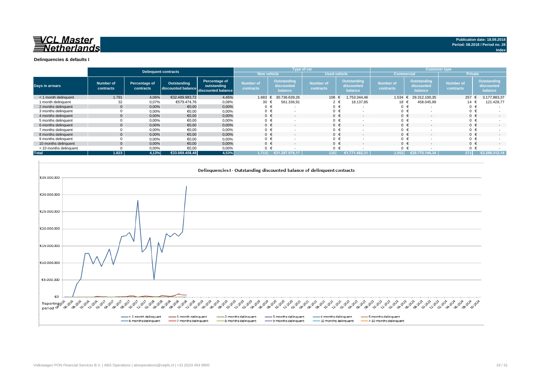

|                        | <b>Delinquent contracts</b> |                            |                                   |                                                    |                               | Type of car |                                      |                               |                     |                                      |                               | <b>Customer type</b> |                                      |                               |         |                                             |
|------------------------|-----------------------------|----------------------------|-----------------------------------|----------------------------------------------------|-------------------------------|-------------|--------------------------------------|-------------------------------|---------------------|--------------------------------------|-------------------------------|----------------------|--------------------------------------|-------------------------------|---------|---------------------------------------------|
|                        |                             |                            |                                   |                                                    | <b>New vehicle</b>            |             |                                      |                               | <b>Used vehicle</b> |                                      | <b>Commercial</b>             |                      |                                      | Private                       |         |                                             |
| Days in arrears        | Number of<br>contracts      | Percentage of<br>contracts | Outstanding<br>discounted balance | Percentage of<br>outstanding<br>discounted balance | <b>Number of</b><br>contracts |             | Outstanding<br>discounted<br>balance | <b>Number of</b><br>contracts |                     | Outstanding<br>discounted<br>balance | <b>Number of</b><br>contracts |                      | Outstanding<br>discounted<br>balance | <b>Number of</b><br>contracts |         | <b>Outstanding</b><br>discounted<br>balance |
| < 1 month delinguent   | 1.791                       | 4,06%                      | €32.489.983,72                    | 4,45%                                              | 1.683                         |             | 30.736.639.26                        | 108                           |                     | 1.753.344,46                         | 1.534                         | €                    | 29.312.100.35                        |                               | 257     | 3.177.883,37                                |
| 1 month delinguent     | 32                          | 0,07%                      | €579.474.76                       | 0,08%                                              | 30                            |             | 561.336,91                           |                               |                     | 18.137,85                            | 18 €                          |                      | 458.045,99                           |                               | 14 €    | 121.428,77                                  |
| 2 months delinguent    |                             | 0.00%                      | €0.00                             | 0,00%                                              | 0 €                           |             | $\overline{\phantom{a}}$             | $0 \in$                       |                     | $\overline{\phantom{a}}$             | 0 <sup>1</sup>                |                      |                                      |                               | $0 \in$ |                                             |
| 3 months delinquent    |                             | 0,00%                      | €0,00                             | 0,00%                                              | 0 €                           |             |                                      |                               |                     |                                      | 0                             |                      |                                      |                               | $0 \in$ |                                             |
| 4 months delinquent    |                             | 0.00%                      | €0.00                             | 0,00%                                              | $0 \in$                       |             | $\overline{\phantom{0}}$             | $0 \in$                       |                     | $\overline{\phantom{a}}$             | $\Omega$                      |                      | $\overline{\phantom{a}}$             |                               | $0 \in$ |                                             |
| 5 months delinquent    |                             | 0,00%                      | €0,00                             | 0,00%                                              | $0 \in$                       |             |                                      | $0 \in$                       |                     | $\overline{\phantom{a}}$             | $0 \in$                       |                      |                                      |                               | $0 \in$ |                                             |
| 6 months delinquent    |                             | 0.00%                      | €0.00                             | 0.00%                                              | $0 \in$                       |             |                                      | $0 \in$                       |                     | $\overline{\phantom{a}}$             | $\Omega$                      |                      |                                      |                               | $0 \in$ | $\overline{\phantom{a}}$                    |
| 7 months delinquent    |                             | 0,00%                      | €0,00                             | 0,00%                                              | $0 \in$                       |             |                                      |                               | €                   | $\overline{\phantom{a}}$             | $0 \in$                       |                      |                                      |                               | $0 \in$ |                                             |
| 8 months delinguent    |                             | 0.00%                      | €0.00                             | 0.00%                                              | $0 \in$                       |             |                                      | $0 \in$                       |                     | $\overline{\phantom{a}}$             | $\Omega$                      |                      |                                      |                               | $0 \in$ |                                             |
| 9 months delinguent    |                             | 0,00%                      | €0.00                             | 0,00%                                              | $0 \in$                       |             |                                      | $\Omega$                      |                     | $\overline{\phantom{a}}$             | $0 \in$                       |                      |                                      |                               | $0 \in$ |                                             |
| 10 months delinquent   |                             | 0.00%                      | €0.00                             | 0.00%                                              | $0 \in$                       |             | $\overline{\phantom{0}}$             | $0 \in$                       |                     | $\overline{\phantom{a}}$             | $\Omega$                      |                      | $\sim$                               |                               | $0 \in$ | $\overline{\phantom{a}}$                    |
| > 10 months delinquent |                             | 0,00%                      | €0.00                             | 0,00%                                              | $0 \in$                       |             |                                      |                               |                     |                                      | $\Omega$                      |                      |                                      |                               | $0 \in$ |                                             |
| <b>Total</b>           | 1.823                       | 4.13%                      | €33.069.458.48                    | 4,53%                                              | 1.713                         |             | €31.297.976.17                       | 110 <sup>1</sup>              |                     | €1.771.482.31                        | 1.552                         |                      | €29.770.146.34                       |                               | 271     | €3.299.312.14                               |



**Index**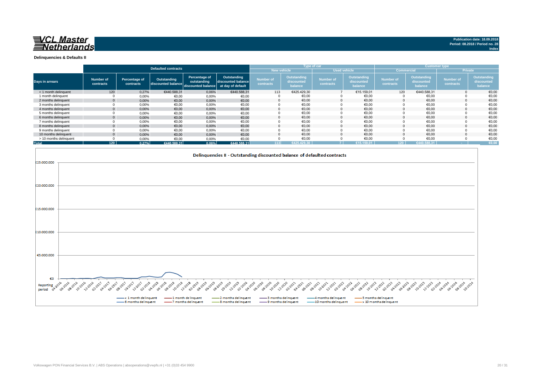

**Index**

**Delinquencies & Defaults II**

|                        |                        |                            |                                   |                                                                      |                                           |                               |                                      | Type of car                   |                                      |                               |                                      | <b>Customer type</b>          |                                      |
|------------------------|------------------------|----------------------------|-----------------------------------|----------------------------------------------------------------------|-------------------------------------------|-------------------------------|--------------------------------------|-------------------------------|--------------------------------------|-------------------------------|--------------------------------------|-------------------------------|--------------------------------------|
|                        |                        |                            | <b>Defaulted contracts</b>        |                                                                      | <b>New vehicle</b><br><b>Used vehicle</b> |                               |                                      |                               | <b>Commercial</b>                    |                               |                                      | <b>Private</b>                |                                      |
| Days in arrears        | Number of<br>contracts | Percentage of<br>contracts | Outstanding<br>discounted balance | Percentage of<br>outstanding<br>discounted balance at day of default | Outstanding<br>discounted balance         | <b>Number of</b><br>contracts | Outstanding<br>discounted<br>balance | <b>Number of</b><br>contracts | Outstanding<br>discounted<br>balance | <b>Number of</b><br>contracts | Outstanding<br>discounted<br>balance | <b>Number of</b><br>contracts | Outstanding<br>discounted<br>balance |
| < 1 month delinquent   | 120                    | 0.27%                      | €440.588.31                       | 0,06%                                                                | €440.588.31                               | 113                           | €425.429,30                          |                               | €15.159,01                           | 120                           | €440.588,31                          |                               | €0,00                                |
| 1 month delinquent     |                        | 0.00%                      | €0.00                             | 0,00%                                                                | €0,00                                     |                               | €0,00                                |                               | €0,00                                |                               | €0,00                                |                               | €0,00                                |
| 2 months delinguent    | $\Omega$               | 0,00%                      | €0,00                             | 0,00%                                                                | €0,00                                     |                               | €0.00                                | $\Omega$                      | €0,00                                |                               | €0,00                                |                               | €0,00                                |
| 3 months delinquent    |                        | 0,00%                      | €0,00                             | 0,00%                                                                | €0,00                                     |                               | €0,00                                |                               | €0,00                                |                               | €0,00                                |                               | €0,00                                |
| 4 months delinquent    | $\mathbf{0}$           | 0,00%                      | €0,00                             | 0,00%                                                                | €0,00                                     |                               | €0,00                                |                               | €0,00                                |                               | €0,00                                |                               | €0,00                                |
| 5 months delinguent    |                        | 0,00%                      | €0,00                             | 0,00%                                                                | €0,00                                     |                               | €0,00                                |                               | €0,00                                |                               | €0,00                                |                               | €0,00                                |
| 6 months delinguent    | $\Omega$               | 0,00%                      | €0,00                             | 0,00%                                                                | €0,00                                     |                               | €0.00                                |                               | €0,00                                |                               | €0,00                                |                               | €0,00                                |
| 7 months delinquent    |                        | 0,00%                      | €0,00                             | 0,00%                                                                | €0,00                                     |                               | €0,00                                |                               | €0,00                                |                               | €0,00                                |                               | €0,00                                |
| 8 months delinquent    | $\mathbf{0}$           | 0,00%                      | €0,00                             | 0,00%                                                                | €0,00                                     |                               | €0.00                                |                               | €0.00                                |                               | €0.00                                |                               | €0.00                                |
| 9 months delinquent    |                        | 0,00%                      | €0,00                             | 0,00%                                                                | €0,00                                     |                               | €0,00                                |                               | €0,00                                |                               | €0,00                                |                               | €0,00                                |
| 10 months delinquent   | $\Omega$               | 0.00%                      | €0.00                             | 0.00%                                                                | €0,00                                     |                               | €0.00                                |                               | €0.00                                |                               | €0.00                                |                               | €0,00                                |
| > 10 months delinquent |                        | 0,00%                      | €0,00                             | 0,00%                                                                | €0,00                                     |                               | €0,00                                |                               | €0,00                                |                               | €0,00                                |                               | €0,00                                |
| <b>Total</b>           | 120                    | 0.27%                      | €440.588.31                       | 0.06%                                                                | €440.588.31                               | 113                           | £425.429.30                          |                               | €15.159.01                           | 120 <sub>1</sub>              | €440.588.31                          |                               | €0,00                                |

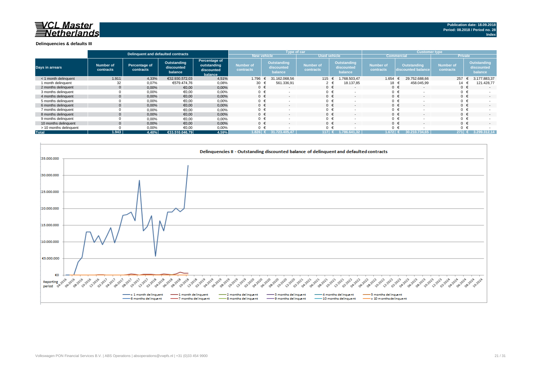# **NOL Master**<br>*Netherlands*

#### **Delinquencies & defaults III**

|                        | Delinguent and defaulted contracts |                            |                                      |                                                       |                                      | Type of car                          |                               |                                             | <b>Customer type</b>   |                                          |                               |                                      |  |
|------------------------|------------------------------------|----------------------------|--------------------------------------|-------------------------------------------------------|--------------------------------------|--------------------------------------|-------------------------------|---------------------------------------------|------------------------|------------------------------------------|-------------------------------|--------------------------------------|--|
|                        |                                    |                            |                                      |                                                       | <b>New vehicle</b>                   |                                      | <b>Used vehicle</b>           |                                             |                        | <b>Commercia</b>                         | <b>Private</b>                |                                      |  |
| <b>Days in arrears</b> | Number of<br>contracts             | Percentage of<br>contracts | Outstanding<br>discounted<br>balance | Percentage of<br>outstanding<br>discounted<br>balance | <b>Number of</b><br><b>contracts</b> | Outstanding<br>discounted<br>balance | <b>Number of</b><br>contracts | <b>Outstanding</b><br>discounted<br>balance | Number of<br>contracts | <b>Outstanding</b><br>discounted balance | <b>Number of</b><br>contracts | Outstanding<br>discounted<br>balance |  |
| < 1 month delinguent   | 1.911                              | 4,33%                      | €32.930.572.03                       | 4,51%                                                 | 1.796                                | 31.162.068.56                        | 115 €                         | .768.503.47                                 | 1.654                  | 29.752.688.66                            | 257                           | 3.177.883,37                         |  |
| 1 month delinguent     | 32                                 | 0,07%                      | €579.474.76                          | 0,08%                                                 | 30                                   | 561.336,91                           |                               | 18.137,85                                   | 18 <sub>t</sub>        | 458.045,99                               | 14                            | 121.428,77                           |  |
| 2 months delinguent    |                                    | 0.00%                      | €0,00                                | 0,00%                                                 | $0 \in$                              | $\sim$                               | $0 \in$                       | $\overline{\phantom{a}}$                    | $0 \in$                | $\overline{\phantom{a}}$                 |                               | $\sim$                               |  |
| 3 months delinguent    |                                    | 0,00%                      | €0,00                                | 0,00%                                                 | $\mathbf{0}$                         |                                      | $0 \in$                       |                                             | $0 \in$                |                                          |                               |                                      |  |
| 4 months delinquent    |                                    | 0.00%                      | €0,00                                | 0,00%                                                 | $0 \in$                              | $\sim$                               | $0 \in$                       |                                             | $0 \in$                |                                          | $0 \in$                       | $\sim$                               |  |
| 5 months delinguent    |                                    | 0,00%                      | €0,00                                | 0,00%                                                 | 0                                    |                                      | $0 \in$                       |                                             | $0 \in$                |                                          |                               |                                      |  |
| 6 months delinguent    |                                    | 0,00%                      | €0,00                                | 0,00%                                                 | 0 <sup>1</sup>                       |                                      | $0 \in$                       |                                             | $0 \in$                |                                          |                               | $\sim$                               |  |
| 7 months delinquent    |                                    | 0,00%                      | €0,00                                | 0,00%                                                 | $\Omega$                             |                                      |                               |                                             | $0 \in$                |                                          |                               |                                      |  |
| 8 months delinguent    |                                    | 0,00%                      | €0,00                                | 0,00%                                                 | $\Omega$                             |                                      |                               |                                             | $0 \in$                |                                          |                               | $\overline{\phantom{a}}$             |  |
| 9 months delinquent    |                                    | 0,00%                      | €0,00                                | 0,00%                                                 | $\Omega$                             |                                      | $0 \in$                       |                                             | $0 \in$                |                                          |                               |                                      |  |
| 10 months delinguent   |                                    | 0,00%                      | €0,00                                | 0,00%                                                 | $\Omega$                             |                                      | $0 \in$                       |                                             | $0 \in$                |                                          |                               | $\overline{a}$                       |  |
| > 10 months delinquent |                                    | 0,00%                      | €0,00                                | 0,00%                                                 | $\Omega$                             |                                      | ∩ €                           |                                             |                        |                                          |                               |                                      |  |
| <b>Total</b>           | 1.943                              | 4.40%                      | €33.510.046.79                       | 4,59%                                                 | $1.826$ $\leftrightarrow$            | 405.47<br>31.723.4                   | 117 €                         | 1.786.641.32                                | 1.6721                 | 30.210.7<br>734.65.                      | $271$ €                       | 3.299.312.14                         |  |

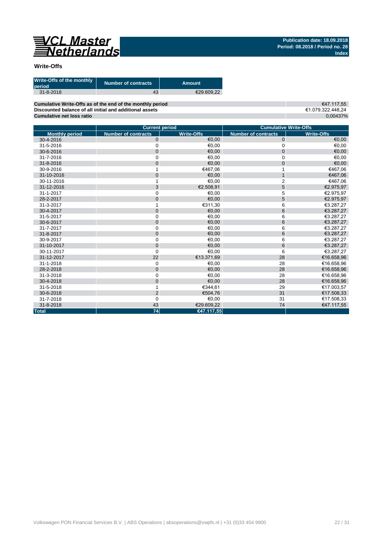

### **Write-Offs**

| Write-Offs of the monthly<br>period | <b>Number of contracts</b> | Amount     |
|-------------------------------------|----------------------------|------------|
| $31 - 8 - 2018$                     | 43                         | €29.609.22 |
|                                     |                            |            |

**Cumulative Write-Offs as of the end of the monthly period Discounted balance of all initial and additional assets Cumulative net loss ratio**

€47.117,55 €1.079.322.448,24 0,00437%

|                       | <b>Current period</b>      |                   | <b>Cumulative Write-Offs</b> |                   |
|-----------------------|----------------------------|-------------------|------------------------------|-------------------|
| <b>Monthly period</b> | <b>Number of contracts</b> | <b>Write-Offs</b> | <b>Number of contracts</b>   | <b>Write-Offs</b> |
| 30-4-2016             | $\mathbf 0$                | €0,00             | $\mathbf 0$                  | €0,00             |
| 31-5-2016             | $\mathbf 0$                | €0,00             | 0                            | €0,00             |
| 30-6-2016             | $\mathbf{0}$               | €0.00             | $\mathbf{0}$                 | €0,00             |
| 31-7-2016             | $\mathbf 0$                | €0,00             | 0                            | €0,00             |
| 31-8-2016             | $\mathbf 0$                | €0.00             | $\mathbf 0$                  | €0,00             |
| 30-9-2016             |                            | €467,06           |                              | €467,06           |
| 31-10-2016            | $\overline{0}$             | €0,00             | $\mathbf{1}$                 | €467,06           |
| 30-11-2016            |                            | €0,00             | $\overline{2}$               | €467,06           |
| 31-12-2016            | 3                          | €2.508.91         | 5                            | €2.975,97         |
| 31-1-2017             | $\mathbf 0$                | €0.00             | 5                            | €2.975,97         |
| 28-2-2017             | $\mathbf 0$                | €0,00             | 5                            | €2.975,97         |
| 31-3-2017             |                            | €311.30           | 6                            | €3.287,27         |
| 30-4-2017             | $\mathbf 0$                | €0,00             | 6                            | €3.287,27         |
| 31-5-2017             | $\mathbf 0$                | €0,00             | 6                            | €3.287,27         |
| 30-6-2017             | $\mathbf 0$                | €0,00             | 6                            | €3.287,27         |
| 31-7-2017             | 0                          | €0.00             | 6                            | €3.287.27         |
| 31-8-2017             | $\mathbf 0$                | €0,00             | 6                            | €3.287,27         |
| 30-9-2017             | $\mathbf 0$                | €0,00             | 6                            | €3.287,27         |
| 31-10-2017            | $\mathbf 0$                | €0.00             | 6                            | €3.287,27         |
| 30-11-2017            | $\mathbf 0$                | €0.00             | 6                            | €3.287,27         |
| 31-12-2017            | 22                         | €13.371,69        | 28                           | €16.658,96        |
| 31-1-2018             | $\mathbf 0$                | €0,00             | 28                           | €16.658,96        |
| 28-2-2018             | $\mathbf 0$                | €0.00             | 28                           | €16.658,96        |
| 31-3-2018             | $\mathbf 0$                | €0,00             | 28                           | €16.658,96        |
| 30-4-2018             | $\mathbf 0$                | €0.00             | 28                           | €16.658,96        |
| 31-5-2018             |                            | €344,61           | 29                           | €17.003,57        |
| 30-6-2018             | $\overline{2}$             | €504,76           | 31                           | €17.508,33        |
| 31-7-2018             | $\Omega$                   | €0,00             | 31                           | €17.508,33        |
| 31-8-2018             | 43                         | €29.609.22        | 74                           | €47.117,55        |
| <b>Total</b>          | 74                         | €47.117,55        |                              |                   |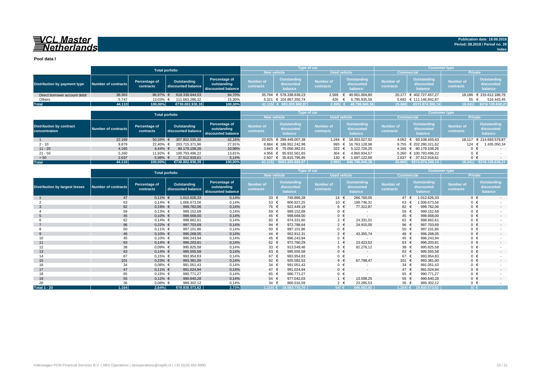# VCL Master<br>ENetherlands

**Pool data I**

|                               |                     |                            | <b>Total porfolio</b>             |                                                    |                                    | <b>Type of car</b>                   |                        |                                      | <b>Customer type</b>          |                                             |                               |                                             |
|-------------------------------|---------------------|----------------------------|-----------------------------------|----------------------------------------------------|------------------------------------|--------------------------------------|------------------------|--------------------------------------|-------------------------------|---------------------------------------------|-------------------------------|---------------------------------------------|
|                               |                     |                            |                                   |                                                    | <b>Used vehicle</b><br>New vehicle |                                      | <b>Commercial</b>      |                                      | <b>Private</b>                |                                             |                               |                                             |
| Distribution by payment type  | Number of contracts | Percentage of<br>contracts | Outstanding<br>discounted balance | Percentage of<br>outstanding<br>discounted balance | <b>Number of</b><br>contracts      | Outstanding<br>discounted<br>balance | Number of<br>contracts | Outstanding<br>discounted<br>balance | <b>Number of</b><br>contracts | <b>Outstanding</b><br>discounted<br>balance | <b>Number of</b><br>contracts | <b>Outstanding</b><br>discounted<br>balance |
| Direct borrower account debit | 38.363              | 86.97% €                   | 618.339.644.03                    | 84,70%                                             | 35.794                             | € 578.338.639,23                     |                        | 2.569 € 40.001.004,80                |                               | 20.177 € 402.727.457.27                     |                               | 18.186 € 215.612.186,76                     |
| Others                        | 5.747               | 13.03% €                   | 111.663.286.32                    | 15,30%                                             |                                    | 5.321 € 104.867.350.74               | 426                    | 6.795.935,58                         |                               | 5.692 € 111.146.842.87                      | 55                            | 516.443,45                                  |
| <b>Total</b>                  | 44.110              | 100,00%                    | €730.002.930.35                   | 100,00%                                            |                                    | 41.115 € 683.205.989,97              | $2.995$ €              | 46.796.940.38                        | 25.869                        | $\epsilon$ 513.874.300.14                   | 18.241                        | €216.128.630,21                             |

|                                                  |                     | <b>Total porfolio</b>      |                                   |                                                    |                               | <b>Type of car</b>                   |                               |                                      | <b>Customer type</b>          |                                      |                               |                                      |
|--------------------------------------------------|---------------------|----------------------------|-----------------------------------|----------------------------------------------------|-------------------------------|--------------------------------------|-------------------------------|--------------------------------------|-------------------------------|--------------------------------------|-------------------------------|--------------------------------------|
|                                                  |                     |                            |                                   |                                                    | <b>New vehicle</b>            |                                      |                               | <b>Used vehicle</b>                  |                               | Commercial                           |                               | <b>Private</b>                       |
| <b>Distribution by contract</b><br>concentration | Number of contracts | Percentage of<br>contracts | Outstanding<br>discounted balance | Percentage of<br>outstanding<br>discounted balance | <b>Number of</b><br>contracts | Outstanding<br>discounted<br>balance | <b>Number of</b><br>contracts | Outstanding<br>discounted<br>balance | <b>Number of</b><br>contracts | Outstanding<br>discounted<br>balance | <b>Number of</b><br>contracts | Outstanding<br>discounted<br>balance |
|                                                  | 22.169              | 50.26%                     | 307.802.035.30                    | 42,16%                                             |                               | 20.925 € 289.449.007.38              | 1.244                         | € 18.353.027.92                      |                               | 4.052 € 93.108.455.43                |                               | 18.117 € 214.693.579,87              |
| $2 - 10$                                         | 9.879               | 22.40%                     | 203.715.371.96                    | 27,91%                                             |                               | 8.884 € 186.952.242.98               | 995 €                         | 16.763.128.98                        |                               | 9.755 € 202.280.321.62               | 124 €                         | 1.435.050,34                         |
| $11 - 20$                                        | 4.165               | 9.44% $\in$                | 80.179.108.26                     | 10,98%                                             |                               | 3.843 € 75.056.382.01                | 322 $\epsilon$                | 5.122.726.25                         |                               | 4.165 € 80.179.108.26                | $0 \in$                       |                                      |
| $21 - 50$                                        | 5.260               | 11.92% €                   | 100.793.496.22                    | 13,81%                                             |                               | 4.956 € 95.932.561.65                | 304 €                         | 4.860.934.57                         |                               | 5.260 € 100.793.496.22               | $0 \in$                       |                                      |
| > 50                                             | 2.637               | 5,98%                      | 37.512.918.61                     | 5,14%                                              |                               | 2.507 € 35.815.795,95                | $130 \epsilon$                | 1.697.122,66                         |                               | 2.637 € 37.512.918,61                | $0 \in$                       |                                      |
| <b>Total</b>                                     | 44.110              | 100.00%                    | €730.002.930.35                   | 100,00%                                            | 41.115                        | €683.205.989.97                      | 2.995                         | 646.796.940.38                       |                               |                                      | 18.241                        | €216.128.630,21                      |

|                                       | <b>Total porfolio</b>      |                            |                                   |                                                    |                               |                                             | Type of car                   |                                             | <b>Customer type</b>          |                                             |                               |                                             |
|---------------------------------------|----------------------------|----------------------------|-----------------------------------|----------------------------------------------------|-------------------------------|---------------------------------------------|-------------------------------|---------------------------------------------|-------------------------------|---------------------------------------------|-------------------------------|---------------------------------------------|
|                                       |                            |                            |                                   |                                                    | <b>New vehicle</b>            |                                             |                               | <b>Used vehicle</b>                         | <b>Commercial</b>             |                                             | Private                       |                                             |
| <b>Distribution by largest lessee</b> | <b>Number of contracts</b> | Percentage of<br>contracts | Outstanding<br>discounted balance | Percentage of<br>outstanding<br>discounted balance | <b>Number of</b><br>contracts | <b>Outstanding</b><br>discounted<br>balance | <b>Number of</b><br>contracts | <b>Outstanding</b><br>discounted<br>balance | <b>Number of</b><br>contracts | <b>Outstanding</b><br>discounted<br>balance | <b>Number of</b><br>contracts | <b>Outstanding</b><br>discounted<br>balance |
|                                       | 47                         | $0,11\%$ €                 | 1.012.626,33                      | 0,14%                                              | 33 $\epsilon$                 | 745.866,28                                  | 14 $\in$                      | 266.760,05                                  | 47 €                          | 1.012.626,33                                | $0 \in$                       | $\sim$                                      |
|                                       | 63                         | $0,14%$ €                  | 1.006.673,56                      | 0,14%                                              | 53 €                          | 806.927,25                                  | 10 €                          | 199.746,31                                  | 63 €                          | 1.006.673,56                                | $0 \in$                       |                                             |
| -3                                    | 82                         | $0,19%$ €                  | 999.762,06                        | 0,14%                                              | 76 €                          | 922.449,19                                  |                               | 6 €<br>77.312,87                            | 82 €                          | 999.762,06                                  | $0 \in$                       | $\sim$                                      |
|                                       | 59                         | $0,13%$ €                  | 999.152,68                        | 0,14%                                              | 59 €                          | 999.152,68                                  |                               | $0 \in$                                     | 59 €                          | 999.152,68                                  | $0 \in$                       |                                             |
|                                       | 45                         | $0,10%$ €                  | 998.668,00                        | 0,14%                                              | 45 €                          | 998.668,00                                  |                               | $0 \in$<br>$\overline{\phantom{a}}$         | 45 €                          | 998.668,00                                  | $0 \in$                       | $\sim$                                      |
|                                       | 62                         | $0.14\%$ €                 | 998.662,61                        | 0,14%                                              | 60 +                          | 974.331,60                                  |                               | 2 $\in$<br>24.331,01                        | 62 €                          | 998.662,61                                  | $0 \in$                       |                                             |
|                                       | 96                         | $0,22%$ €                  | 997.703,69                        | 0,14%                                              | 94 $\in$                      | 972.788,64                                  |                               | $2 \in$<br>24.915,05                        | 96 €                          | 997.703,69                                  | $0 \in$                       | $\overline{\phantom{a}}$                    |
|                                       | 50                         | $0,11\%$ €                 | 997.101,86                        | 0,14%                                              | 50 €                          | 997.101,86                                  |                               | $0 \in$                                     | 50 $\epsilon$                 | 997.101,86                                  | $0 \in$                       |                                             |
| 9                                     | 46                         | $0,10%$ €                  | 996.268,05                        | 0,14%                                              | 44 €                          | 952.912,31                                  |                               | $2 \in$<br>43.355,74                        | 46 €                          | 996.268,05                                  | $0 \in$                       | $\sim$                                      |
|                                       | 45                         | $0,10%$ €                  | 996.243,94                        | 0,14%                                              | 45 €                          | 996.243,94                                  |                               | $0 \in$                                     | 45 €                          | 996.243,94                                  | $0 \in$                       |                                             |
| 11                                    | 63                         | $0,14%$ €                  | 996.203,81                        | 0,14%                                              | 62 €                          | 972.780,29                                  |                               | $1 \in$<br>23.423,52                        | 63 €                          | 996.203,81                                  | $0 \in$                       | $\overline{\phantom{a}}$                    |
| 12                                    | 38                         | $0.09%$ €                  | 995.825,58                        | 0,14%                                              | 33 $\epsilon$                 | 913.549,46                                  |                               | $5 \in$<br>82.276,12                        | 38 €                          | 995.825,58                                  | $0 \in$                       |                                             |
| 13                                    | 63                         | $0,14%$ €                  | 995.555,58                        | 0,14%                                              | 63 €                          | 995.555,58                                  |                               | $0 \in$<br>$\sim$                           | 63 €                          | 995.555,58                                  | $0 \in$                       | $\overline{\phantom{a}}$                    |
| 14                                    | 67                         | $0,15%$ €                  | 993.954,83                        | 0,14%                                              | 67                            | 993.954,83                                  |                               | $0 \in$<br>$\overline{a}$                   | 67 €                          | 993.954,83                                  | $0 \in$                       |                                             |
| 15                                    | 101                        | $0,23%$ €                  | 993.381,00                        | 0,14%                                              | 92 €                          | 925.582,53                                  |                               | $9 \in$<br>67.798,47                        | 101 €                         | 993.381,00                                  | $0 \in$                       | $\sim$                                      |
| 16                                    | 34                         | $0.08%$ €                  | 991.051,43                        | 0,14%                                              | 34 $\epsilon$                 | 991.051,43                                  |                               | $0 \in$                                     | 34 $\in$                      | 991.051,43                                  | $0 \in$                       |                                             |
| 17                                    | 47                         | $0,11\%$ €                 | 991.024,94                        | 0,14%                                              | 47 €                          | 991.024,94                                  |                               | $0 \in$<br>$\sim$                           | 47 €                          | 991.024,94                                  | $0 \in$                       | $\sim$                                      |
| 18                                    | 65                         | $0,15%$ €                  | 990.771.27                        | 0,14%                                              | 65 €                          | 990.771,27                                  |                               | $0 \in$<br>$\overline{a}$                   | 65 €                          | 990.771.27                                  | $0 \in$                       |                                             |
| 19                                    | 55                         | $0,12%$ €                  | 990.640,28                        | 0,14%                                              | 54 €                          | 977.042,03                                  |                               | $1 \in$<br>13.598,25                        | 55 €                          | 990.640,28                                  | $0 \in$                       | $\overline{\phantom{a}}$                    |
| 20                                    | 36                         | $0,08%$ €                  | 989.302,12                        | 0,14%                                              | 34                            | 966.016,59                                  |                               | $2 \in$<br>23.285,53                        | 36 $\epsilon$                 | 989.302,12                                  | $0 \in$                       |                                             |
| <b>Total 1 - 20</b>                   | 1.164                      | 2,64%                      | €19.930.573,62                    | 2,73%                                              |                               | $1.110$ € 19.083.770,70                     | $54 \in$                      | 846.802,92                                  | 1.164 €                       | 19.930.573,62                               | $0 \in$                       | <b>Contract</b>                             |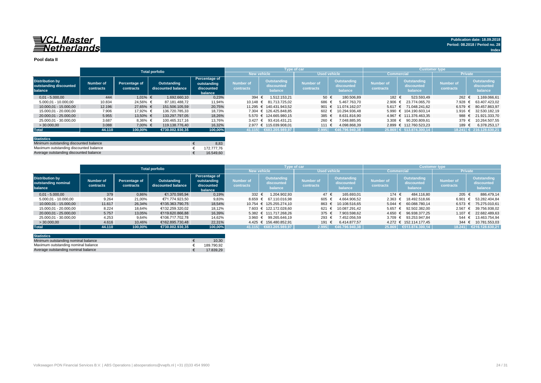#### **Pool data II**

|                                                             |                        |                            |                                   |                                                       |                               |                                      | <b>Type of car</b>            |                                      | <b>Customer type</b>   |                                      |                               |                                      |
|-------------------------------------------------------------|------------------------|----------------------------|-----------------------------------|-------------------------------------------------------|-------------------------------|--------------------------------------|-------------------------------|--------------------------------------|------------------------|--------------------------------------|-------------------------------|--------------------------------------|
|                                                             |                        |                            | <b>Total porfolio</b>             |                                                       |                               | <b>New vehicle</b>                   | <b>Used vehicle</b>           |                                      | <b>Commercial</b>      |                                      | <b>Private</b>                |                                      |
| <b>Distribution by</b><br>outstanding discounted<br>balance | Number of<br>contracts | Percentage of<br>contracts | Outstanding<br>discounted balance | Percentage of<br>outstanding<br>discounted<br>balance | <b>Number of</b><br>contracts | Outstanding<br>discounted<br>balance | <b>Number of</b><br>contracts | Outstanding<br>discounted<br>balance | Number of<br>contracts | Outstanding<br>discounted<br>balance | <b>Number of</b><br>contracts | Outstanding<br>discounted<br>balance |
| $0.01 - 5.000.00$                                           | 444                    | $1.01\%$ €                 | 1.692.660.10                      | 0,23%                                                 | 394 €                         | 1.512.153.21                         | 50 $\epsilon$                 | 180.506.89                           | 182 €                  | 523.593.49                           | 262                           | .169.066,61                          |
| $5.000,01 - 10.000,00$                                      | 10.834                 | 24,56% €                   | 87.181.488.72                     | 11,94%                                                |                               | 10.148 € 81.713.725.02               | 686                           | 5.467.763.70                         | $2.906 \text{ } \in$   | 23.774.065.70                        | 7.928                         | 63.407.423.02                        |
| 10.000.01 - 15.000.00                                       | 12.196                 | 27.65% €                   | 151.506.105.59                    | 20,75%                                                |                               | 11.295 € 140.431.943.52              | 901 €                         | 11.074.162.07                        |                        | 5.617 € 71.048.241.62                | 6.579                         | 80.457.863.97                        |
| 15.000,01 - 20.000,00                                       | 7.906                  | 17,92% €                   | 136.720.785.33                    | 18,73%                                                |                               | 7.304 € 126.425.848.85               | $602 \text{ }$                | 10.294.936.48                        |                        | 5.990 € 104.190.603.14               | 1.916                         | 32.530.182.19                        |
| 20.000.01 - 25.000.00                                       | 5.955                  | 13,50% €                   | 133.297.797.05                    | 18,26%                                                |                               | 5.570 € 124.665.980.15               | 385 €                         | 8.631.816.90                         |                        | 4.967 € 111.376.463.35               | 988 €                         | 21.921.333.70                        |
| 25.000.01 - 30.000.00                                       | 3.687                  | $8,36%$ €                  | 100.465.317.16                    | 13,76%                                                |                               | 3.427 € 93.416.431.21                | $260$ $*$                     | 7.048.885.95                         |                        | 3.308 € 90.200.809.61                | 379                           | 10.264.507.55                        |
| >30.000,00                                                  | 3.088                  | 7.00% €                    | 119.138.776.40                    | 16,32%                                                |                               | 2.977 € 115.039.908.01               | 111 €                         | 4.098.868.39                         | 2.899                  | € 112.760.523.23                     | 189 €                         | 6.378.253.17                         |
| <b>Total</b>                                                | 44.110                 | 100,00%                    | €730.002.930.35                   | 100,00%                                               |                               | $ 41.115 $ €683.205.989,97           | 2.995                         | (€46.796.940.38)                     |                        | 25.869 € 513.874.300,14              |                               | 18.241 € 216.128.630,21              |
|                                                             |                        |                            |                                   |                                                       |                               |                                      |                               |                                      |                        |                                      |                               |                                      |

| <b>Statistics</b>                      |            |
|----------------------------------------|------------|
| Minimum outstanding discounted balance | 8.83       |
| Maximum outstanding discounted balance | 172.777.76 |
| Average outstanding discounted balance | 16.549.60  |

|                                                          | <b>Total porfolio</b>         |                            |                                   |                                                              |                               | <b>Type of car</b>                   |                               |                                      | <b>Customer type</b>          |                                      |                               |                                      |
|----------------------------------------------------------|-------------------------------|----------------------------|-----------------------------------|--------------------------------------------------------------|-------------------------------|--------------------------------------|-------------------------------|--------------------------------------|-------------------------------|--------------------------------------|-------------------------------|--------------------------------------|
|                                                          |                               |                            |                                   |                                                              | <b>New vehicle</b>            |                                      |                               | Used vehicle                         | <b>Commercial</b>             |                                      | <b>Private</b>                |                                      |
| <b>Distribution by</b><br>outstanding nominal<br>balance | <b>Number of</b><br>contracts | Percentage of<br>contracts | Outstanding<br>discounted balance | <b>Percentage of</b><br>outstanding<br>discounted<br>balance | <b>Number of</b><br>contracts | Outstanding<br>discounted<br>balance | <b>Number of</b><br>contracts | Outstanding<br>discounted<br>balance | <b>Number of</b><br>contracts | Outstanding<br>discounted<br>balance | <b>Number of</b><br>contracts | Outstanding<br>discounted<br>balance |
| $0.01 - 5.000.00$                                        | 379                           | 0.86%                      | €1.370.595.94                     | 0,19%                                                        | 332 $\epsilon$                | 1.204.902.93                         | 47 $\epsilon$                 | 165.693.01                           | 174 €                         | 484.116.80                           | 205 $\epsilon$                | 886.479.14                           |
| $5.000,01 - 10.000,00$                                   | 9.264                         | 21,00%                     | €71.774.923.50                    | 9,83%                                                        | $8.659 \in$                   | 67.110.016.98                        | 605                           | 4.664.906.52                         | $2.363$ €                     | 18.492.518.66                        | 6.901                         | 53.282.404.84                        |
| 10.000.01 - 15.000.00                                    | 11.617                        | 26,34%                     | €135.363.790.75                   | 18.54%                                                       |                               | 10.754 € 125.255.274.10              | 863                           | 10.108.516.65                        | $5.044 \in$                   | 60.088.780.14                        | 6.573                         | 75.275.010.61                        |
| 15.000.01 - 20.000.00                                    | 8.224                         | 18.64%                     | €132.259.320.02                   | 18.12%                                                       |                               | 7.603 € 122.172.028.60               | 621                           | 10.087.291.42                        | $5.657 \in$                   | 92.502.382.00                        | 2.567                         | 39.756.938.02                        |
| 20.000.01 - 25.000.00                                    | 5.757                         | 13,05%                     | €119,620,866,88                   | 16,39%                                                       |                               | 5.382 € 111.717.268.26               | 375                           | 7.903.598.62                         | $4.650 \in$                   | 96.938.377.25                        | 1.107 €                       | 22.682.489.63                        |
| 25.000.01 - 30.000.00                                    | 4.253                         | 9,64%                      | €106.717.702.78                   | 14,62%                                                       | $3.960 \in$                   | 99.265.646.19                        | 293                           | 7.452.056.59                         |                               | 3.709 € 93.253.947.84                | 544                           | 13.463.754.94                        |
| >30.000,00                                               | 4.616                         | 10.46%                     | €162.895.730.48                   | 22,31%                                                       |                               | 4.425 € 156.480.852.91               | 191                           | 6.414.877.57                         |                               | 4.272 € 152.114.177.45               | 344 $\in$                     | 10.781.553.03                        |
| <b>Total</b>                                             | 44.110                        | 100.00%                    | €730.002.930.35                   | 100,00%                                                      | 41.115                        | €683.205.989.97                      | 2.995                         | €46.796.940.38                       | 25.869                        | €513.874.300,14                      | 18.241                        | €216.128.630.21                      |

| <b>Statistics</b>                   |            |
|-------------------------------------|------------|
| Minimum outstanding nominal balance | 10.30      |
| Maximum outstanding nominal balance | 189.790.92 |
| Average outstanding nominal balance | 17.839.29  |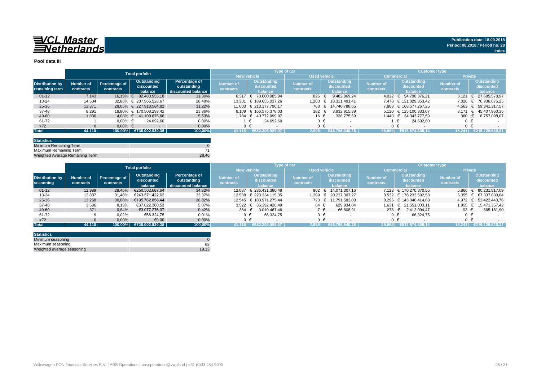

#### **Pool data III**

|                                          |                        |                            | <b>Total porfolio</b>                |                                                    |                               |                                      | Type of car                   |                                             |                               |                                       | <b>Customer type</b>          |                                      |
|------------------------------------------|------------------------|----------------------------|--------------------------------------|----------------------------------------------------|-------------------------------|--------------------------------------|-------------------------------|---------------------------------------------|-------------------------------|---------------------------------------|-------------------------------|--------------------------------------|
|                                          |                        |                            |                                      |                                                    |                               | <b>New vehicle</b>                   |                               | <b>Used vehicle</b>                         |                               | <b>Commercial</b>                     | <b>Private</b>                |                                      |
| <b>Distribution by</b><br>remaining term | Number of<br>contracts | Percentage of<br>contracts | Outstanding<br>discounted<br>balance | Percentage of<br>outstanding<br>discounted balance | <b>Number of</b><br>contracts | Outstanding<br>discounted<br>balance | <b>Number of</b><br>contracts | <b>Outstanding</b><br>discounted<br>balance | <b>Number of</b><br>contracts | Outstanding<br>discounted<br>balance  | <b>Number of</b><br>contracts | Outstanding<br>discounted<br>balance |
| $01 - 12$                                | 7.143                  | 16.19% €                   | 82.483.955.18                        | 11,30%                                             | 6.317                         | 73.000.985.94<br>€                   | 826                           | 9.482.969.24                                | 4.022                         | 54.798.376.21<br>$\ddot{\phantom{1}}$ | 3.121                         | 27.685.578.97                        |
| $13 - 24$                                | 14.504                 |                            | 32.88% € 207.966.528.67              | 28,49%                                             |                               | 13.301 € 189.655.037.26              | 1.203                         | 18.311.491.41<br>€                          |                               | 7.478 € 131.029.853.42                | 7.026                         | 76.936.675.25                        |
| 25-36                                    | 12.371                 |                            | 28.05% € 227.918.584.82              | 31,22%                                             |                               | 11.603 € 213.177.796.17              |                               | 768 € 14.740.788.65                         |                               | 7.808 € 168.577.267.25                | $4.563 \in$                   | 59.341.317.57                        |
| 37-48                                    | 8.291                  |                            | 18.80% € 170.508.293.42              | 23,36%                                             |                               | 8.109 € 166.575.378.03               | 182 €                         | 3.932.915.39                                |                               | 5.120 € 125.100.333.07                | 3.171                         | 45.407.960.35                        |
| 49-60                                    | 1.800                  |                            | 4.08% € 41.100.875.66                | 5,63%                                              |                               | 1.784 € 40.772.099.97                | 16 €                          | 328.775.69                                  |                               | 1.440 € 34.343.777.59                 | 360 $\epsilon$                | 6.757.098,07                         |
| 61-72                                    |                        | $0.00\%$ €                 | 24.692.60                            | 0,00%                                              |                               | 24.692.60                            | $0 \in$                       |                                             |                               | 24.692.60                             |                               |                                      |
| $>72$                                    |                        | $0.00\%$ €                 |                                      | 0,00%                                              |                               |                                      | $0 \in$                       |                                             |                               | $0 \in$                               |                               | $0 \in$                              |
| <b>Total</b>                             | 44.110                 |                            | 100,00% €730.002.930,35              | 100,00%                                            | 41.115                        | €683.205.989.97                      | 2.995                         | €46.796.940.38                              | 25.869                        | €513.874.300.14                       | 18.241                        | €216.128.630.21                      |

| <b>Statistics</b>               |       |
|---------------------------------|-------|
| Minimum Remaining Term          |       |
| Maximum Remaining Term          |       |
| Weighted Average Remaining Term | 28.46 |

|                        | <b>Total porfolio</b> |               |                 |                      | Type of car        |                         | <b>Customer type</b> |                          |                  |                          |                |                       |
|------------------------|-----------------------|---------------|-----------------|----------------------|--------------------|-------------------------|----------------------|--------------------------|------------------|--------------------------|----------------|-----------------------|
|                        |                       |               |                 |                      | <b>New vehicle</b> |                         | <b>Used vehicle</b>  |                          |                  | <b>Commercial</b>        | <b>Private</b> |                       |
|                        |                       |               | Outstanding     | <b>Percentage of</b> | Number of          | <b>Outstanding</b>      |                      | Outstanding              | <b>Number of</b> | <b>Outstanding</b>       | Number of      | Outstanding           |
| <b>Distribution by</b> | Number of             | Percentage of | discounted      | outstanding          |                    | discounted              | <b>Number of</b>     | discounted               |                  | discounted               |                | discounted            |
| seasoning              | contracts             | contracts     | balance         | discounted balance   | contracts          | balance                 | contracts            | balance                  | contracts        | balance                  | contracts      | balance               |
| $01 - 12$              | 12.989                | 29,45%        | €250.502.687,64 | 34,32%               | 12.087             | € 236.431.380.48        |                      | 902 € 14.071.307.16      |                  | 7.123 € 170.270.870.55   | 5.866          | € 80.231.817,09       |
| $13 - 24$              | 13.887                | 31.48%        | €243.571.422.62 | 33,37%               |                    | 12.588 € 223.334.115.35 | 1.299                | $\epsilon$ 20.237.307.27 |                  | 8.532 € 176.233.592.58   |                | 5.355 € 67.337.830.04 |
| $25 - 36$              | 13.268                | 30,08%        | €195.762.858.44 | 26,82%               |                    | 12.545 € 183.971.275.44 |                      | 723 € 11.791.583.00      |                  | 8.296 € 143.340.414.68   |                | 4.972 € 52.422.443,76 |
| 37-48                  | 3.586                 | 8,13%         | €37.022.360.53  | 5,07%                |                    | 3.522 € 36.392.426.49   | 64 €                 | 629.934.04               | 1.631            | $\epsilon$ 21.551.003.11 |                | 1.955 € 15.471.357,42 |
| 49-60                  | 371                   | 0,84%         | €3.077.276.37   | 0,42%                | 364 $\in$          | 3.010.467.46            | 7 €                  | 66.808.91                | 278 €            | 2.412.094.47             | 93 $\epsilon$  | 665.181,90            |
| 61-72                  |                       | 0,02%         | €66.324,75      | 0,01%                | $9 \in$            | 66.324.75               | $0 \in$              |                          |                  | 66.324.75                |                |                       |
| $>72$                  |                       | 0,00%         | €0,00           | 0,00%                | $0 \in$            |                         | $0 \in$              |                          |                  | ∩ €                      | $0 \in$        |                       |
| <b>Total</b>           | 44.110                | 100.00%       | €730.002.930.35 | 100,00%              | 41.115             | €683.205.989.97         | 2.995                | €46.796.940.38           | 25.869           | (513.874.300.14⊎         | 18.241         | €216.128.630.21       |

| <b>Statistics</b>          |       |
|----------------------------|-------|
| Minimum seasoning          |       |
| Maximum seasoning          | 68    |
| Weighted average seasoning | 19.13 |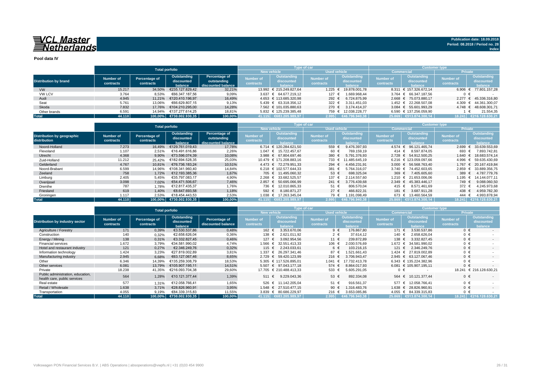**Pool data IV**

|                              |           |               | <b>Total porfolio</b>   |                    |                  | <b>Type of car</b>        |                     |                 | <b>Customer type</b> |                                       |                  |                       |  |  |  |
|------------------------------|-----------|---------------|-------------------------|--------------------|------------------|---------------------------|---------------------|-----------------|----------------------|---------------------------------------|------------------|-----------------------|--|--|--|
|                              |           |               |                         |                    |                  | <b>New vehicle</b>        | <b>Used vehicle</b> |                 |                      | <b>Commercial</b>                     | <b>Private</b>   |                       |  |  |  |
|                              | Number of | Percentage of | Outstanding             | Percentage of      | <b>Number of</b> | Outstanding               | <b>Number of</b>    | Outstanding     | <b>Number of</b>     | Outstanding                           | <b>Number of</b> | Outstanding           |  |  |  |
| <b>Distribution by brand</b> |           | contracts     | discounted              | outstanding        | contracts        | discounted                | contracts           | discounted      |                      | discounted                            |                  | discounted            |  |  |  |
|                              | contracts |               | balance                 | discounted balance |                  |                           |                     | halance         | contracts            | <b>palance</b>                        | contracts        | balance               |  |  |  |
| <b>VW</b>                    | 15.217    | 34,50%        | €235.127.829.42         | 32,21%             |                  | 13.992 € 215.249.827.64   | 1.225               | € 19.878.001.78 |                      | 8.311 € 157.326.672.14                |                  | 6.906 € 77.801.157,28 |  |  |  |
| <b>VW LCV</b>                | 3.764     | 8,53%         | €66.347.187.56          | 9,09%              |                  | 3.637 € 64.677.219.12     | 127 €               | 1.669.968.44    |                      | 3.764 € 66.347.187.56                 | 0 €              |                       |  |  |  |
| Audi                         | 4.945     | 11.21%        | €120.410.196.97         | 16,49%             |                  | 4.653 € 113.685.320.98    | 292 $\epsilon$      | 6.724.875.99    |                      | 2.668 € 75.073.880.17                 | 2.277            | € 45.336.316,80       |  |  |  |
| Seat                         | 5.761     | 13.06%        | €66.629.807.15          | 9,13%              |                  | $5.439 \in 63.318.356.12$ | 322 $\epsilon$      | 3.311.451.03    |                      | 1.452 € 22.268.507.08                 |                  | 4.309 € 44.361.300,07 |  |  |  |
| Skoda                        | 7.832     | 17.76%        | €104.210.295.00         | 14.28%             |                  | 7.562 € 101.035.880.63    | 270 €               | 3.174.414.37    |                      | $3.084 \quad \in \quad 55.601.993.29$ |                  | 4.748 € 48.608.301.71 |  |  |  |
| Other brands                 | 6.591     | 14.94%        | €137.277.614.25         | 18.81%             |                  | 5.832 € 125.239.385.48    | 759 €               | 12.038.228.77   |                      | 6.590 € 137.256.059.90                |                  | 21.554.35             |  |  |  |
| <b>Total</b>                 | 44.110    |               | 100,00% €730.002.930,35 | 100,00%            | 41.115           | 6683, 205, 989, 97        | 2.995               | €46.796.940,38  |                      | 25.869 €513.874.300.14                | 18.241           | €216.128.630.21       |  |  |  |

|                                                   |                        |                            | <b>Total porfolio</b>                |                                                    |                               | <b>Type of car</b>                          |                               |                                                    | <b>Customer type</b>          |                                      |                               |                                             |  |  |  |
|---------------------------------------------------|------------------------|----------------------------|--------------------------------------|----------------------------------------------------|-------------------------------|---------------------------------------------|-------------------------------|----------------------------------------------------|-------------------------------|--------------------------------------|-------------------------------|---------------------------------------------|--|--|--|
|                                                   |                        |                            |                                      |                                                    |                               | <b>New vehicle</b>                          | <b>Used vehicle</b>           |                                                    |                               | Commercia                            | <b>Private</b>                |                                             |  |  |  |
| <b>Distribution by geographic</b><br>distribution | Number of<br>contracts | Percentage of<br>contracts | Outstanding<br>discounted<br>balance | Percentage of<br>outstanding<br>discounted balance | <b>Number of</b><br>contracts | <b>Outstanding</b><br>discounted<br>balance | <b>Number of</b><br>contracts | <b>Outstanding</b><br>discounted<br><b>balance</b> | <b>Number of</b><br>contracts | Outstanding<br>discounted<br>balance | <b>Number of</b><br>contracts | <b>Outstanding</b><br>discounted<br>balance |  |  |  |
| Noord-Holland                                     | 7.273                  | 16.49%                     | €129.761.019.43                      | 17,78%                                             |                               | 6.714 € 120.284.621.50                      | 559 €                         | 9.476.397.93                                       | $4.574 \text{ } \in$          | 96.121.465.74                        | 2.699                         | 33.639.553,69                               |  |  |  |
| Flevoland                                         | 1.107                  | 2.51%                      | €16.491.616.86                       | 2,26%                                              |                               | 1.047 € 15.722.457.67                       | 60 €                          | 769.159.19                                         | 414 €                         | 8.597.874.05                         | 693 €                         | 7.893.742.81                                |  |  |  |
| Utrecht                                           | 4.368                  | 9,90%                      | €73.596.074.39                       | 10,08%                                             |                               | 3.988 € 67.804.697.46                       | 380 €                         | 5.791.376.93                                       |                               | 2.728 € 54.912.500.25                | 1.640                         | 18.683.574.14                               |  |  |  |
| Zuid-Holland                                      | 11.212                 | 25.42%                     | €182.694.528.35                      | 25,03%                                             |                               | 10.479 € 171.208.883.16                     | 733 €                         | 11.485.645.19                                      |                               | 6.216 € 123.059.097.66               | 4.996                         | € 59.635.430.69                             |  |  |  |
| Gelderland                                        | 4.767                  | 10.81%                     | €76.736.183.24                       | 10,51%                                             |                               | 4.473 € 72.279.951.33                       | 294 $\in$                     | 4.456.231.91                                       |                               | 3.000 € 56.568.763.40                | 1.767                         | 20.167.419.84<br>$\epsilon$                 |  |  |  |
| Noord-Brabant                                     | 6.599                  | 14.96%                     | €108.341.960,40                      | 14,84%                                             |                               | 6.218 € 102.577.644.33                      | 381 €                         | 5.764.316.07                                       |                               | 3.740 € 74.452.603.65                | 2.859                         | 33.889.356,75<br>€                          |  |  |  |
| Zeeland                                           | 758                    | 1.72%                      | €12.193.385.36                       | 1,67%                                              |                               | 705 € 11.495.060.32                         | $53 \in$                      | 698.325.04                                         | 369 €                         | 7.405.605.60                         | 389 $\epsilon$                | 4.787.779.76                                |  |  |  |
| Limburg                                           | 2.405                  | 5,45%                      | €35.797.083.17                       | 4,90%                                              |                               | 2.268 € 33.682.525.57                       | 137 €                         | 2.114.557.60                                       | 1.210 $∈$                     | 21.653.006.06                        | 1.195                         | 14.144.077.11<br>€                          |  |  |  |
| Overijssel                                        | 3.098                  | 7.02%                      | €54,471,506,67                       | 7,46%                                              |                               | 2.857 € 50.695.066.99                       | 241 $\in$                     | 3.776.439.68                                       | $2.349$ €                     | 45.383.446.17                        | 749 €                         | 9.088.060.50                                |  |  |  |
| Drenthe                                           | 787                    | 1,78%                      | €12.817.435.37                       | 1,76%                                              | 736 €                         | 12.010.865.33                               | 51 €                          | 806.570.04                                         | 415 €                         | 8.571.461.69                         | 372 €                         | 4.245.973.68                                |  |  |  |
| Friesland                                         | 619                    | 1,40%                      | €8.647.693.58                        | 1,18%                                              | 592 €                         | 8.180.871.27                                | 27 $\in$                      | 466.822.31                                         | 181 €                         | 3.687.911.28                         | 438 €                         | 4.959.782,30                                |  |  |  |
| Groningen                                         | 1.117                  | 2,53%                      | €18.454.443.53                       | 2,53%                                              |                               | 1.038 € 17.263.345,04                       | 79 €                          | .191.098,49                                        | 673 €                         | 13.460.564.59                        | 444                           | 4.993.878,94                                |  |  |  |
| Total                                             | 44.110                 | 100.00%                    | €730.002.930.35                      | 100,00%                                            |                               | 41.115 €683.205.989.97                      | 2.995                         | €46.796.940.38                                     |                               | 25.869 €513.874.300.14               | 18.241                        | €216.128.630.21                             |  |  |  |

|                                                                   |                               | <b>Total porfolio</b>                                              |                 |                                     |                                      |                                             | Type of car                   |                                             | <b>Customer type</b>          |                                             |                        |                                             |  |  |  |
|-------------------------------------------------------------------|-------------------------------|--------------------------------------------------------------------|-----------------|-------------------------------------|--------------------------------------|---------------------------------------------|-------------------------------|---------------------------------------------|-------------------------------|---------------------------------------------|------------------------|---------------------------------------------|--|--|--|
|                                                                   |                               |                                                                    |                 |                                     |                                      | <b>New vehicle</b>                          | <b>Used vehicle</b>           |                                             | <b>Commercia</b>              |                                             | <b>Private</b>         |                                             |  |  |  |
| <b>Distribution by industry sector</b>                            | <b>Number of</b><br>contracts | Outstanding<br>Percentage of<br>discounted<br>contracts<br>balance |                 | Percentage of<br>discounted balance | <b>Number of</b><br><b>contracts</b> | <b>Outstanding</b><br>discounted<br>balance | <b>Number of</b><br>contracts | <b>Outstanding</b><br>discounted<br>balance | <b>Number of</b><br>contracts | <b>Outstanding</b><br>discounted<br>balance | Number of<br>contracts | <b>Outstanding</b><br>discounted<br>balance |  |  |  |
| Agriculture / Forestry                                            | 171                           | 0,39%                                                              | €3.530.537,86   | 0,48%                               | 162 €                                | 3.353.670.06                                | $9 \in$                       | 176.867.80                                  | 171 €                         | 3.530.537.86                                | $0 \in$                |                                             |  |  |  |
| Construction                                                      | 140                           | 0,32%                                                              | €2.658.626.04   | 0,36%                               | 138 €                                | 2.621.011.92                                | $2 \in$                       | 37.614.12                                   | 140 €                         | 2.658.626.04                                | $0 \in$                |                                             |  |  |  |
| Energy / Mining                                                   | 138                           | 0,31%                                                              | €3.332.827.45   | 0,46%                               | 127 $\epsilon$                       | 3.092.954.56                                | 11 €                          | 239.872.89                                  | 138 €                         | 3.332.827.45                                | $0 \in$                | $\sim$                                      |  |  |  |
| <b>Financial services</b>                                         | 1.672                         | 3,79%                                                              | €34.581.990.02  | 4,74%                               | 1.566 €                              | 32.551.413.33                               | 106 €                         | 2.030.576.69                                | 1.672 €                       | 34.581.990.02                               | $0 \in$                |                                             |  |  |  |
| Hotel and restaurant industry                                     | 121                           | 0,27%                                                              | €2.346.249.76   | 0,32%                               | 115 €                                | 2.243.033.61                                | 6 €                           | 103.216.15                                  | 121 €                         | 2.346.249.76                                | $0 \in$                | $\sim$                                      |  |  |  |
| Information technology                                            | 1.424                         | 3,23%                                                              | €27.819.002.89  | 3,81%                               | 1.337 €                              | 26.297.341.46                               | 87 €                          | .521.661.43                                 | 1.424 €                       | 27.819.002.89                               | $0 \in$                |                                             |  |  |  |
| Manufacturing industry                                            | 2.945                         | 6,68%                                                              | €63.127.067,46  | 8,65%                               |                                      | 2.729 € 59.420.123.99                       | 216 €                         | 3.706.943.47                                | $2.945 \in$                   | 63.127.067.46                               | $0 \in$                |                                             |  |  |  |
| Other                                                             | 6.346                         | 14,39%                                                             | €135.259.308.79 | 18,53%                              |                                      | 5.305 € 117.526.895.01                      | 1.041                         | 17.732.413.78                               |                               | 6.343 € 135.224.382,96                      | $0 \in$                |                                             |  |  |  |
| Other services                                                    | 6.081                         | 13,79%                                                             | €105.907.195.11 | 14.51%                              |                                      | 5.507 € 97.043.177.18                       | 574 €                         | 8.864.017.93                                |                               | 6.081 € 105.907.195.11                      | $0 \in$                |                                             |  |  |  |
| Private                                                           | 18.238                        | 41,35%                                                             | €216.093.704.38 | 29,60%                              |                                      | 17.705 € 210.488.413.33                     | 533 $\epsilon$                | 5.605.291.05                                | $0 \in$                       |                                             | 18.241                 | € 216.128.630.21                            |  |  |  |
| Public administration, education,<br>health care, public services | 564                           | 1,28%                                                              | €10.121.377.44  | 1,39%                               | 511                                  | € $9.229.043,36$                            | $53 \epsilon$                 | 892.334.08                                  | 564 €                         | 10.121.377.44                               | $0 \in$                |                                             |  |  |  |
| Real estate                                                       | 577                           | 1,31%                                                              | €12.058.766.41  | 1.65%                               |                                      | 526 € 11.142.205.04                         | $51 \text{ } \in$             | 916.561.37                                  | 577 €                         | 12.058.766.41                               | $0 \in$                |                                             |  |  |  |
| Retail / Wholesale                                                | 1.638                         | 3,71%                                                              | €28.826.960.91  | 3,95%                               |                                      | 1.548 € 27.510.477.15                       | 90 €                          | 1.316.483.76                                | 1.638 €                       | 28.826.960.91                               | $0 \in$                | $\sim$                                      |  |  |  |
| Transportation                                                    | 4.055                         | 9,19%                                                              | €84.339.315,83  | 11,55%                              |                                      | 3.839 € 80.686.229,97                       | 216 €                         | 3.653.085,86                                | $4.055 \in$                   | 84.339.315,83                               | $0 \in$                |                                             |  |  |  |
| <b>Total</b>                                                      | 44.110                        | 100.00%                                                            | €730.002.930,35 | 100,00%                             |                                      | 41.115 €683.205.989.97                      | 2.995                         | €46.796.940.38                              |                               | 25.869 €513.874.300.14                      | 18.241                 | €216.128.630.21                             |  |  |  |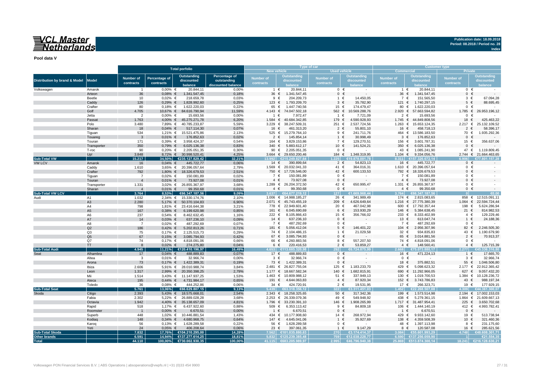# VCL Master<br>Netherlands

**Publication date: 18.09.2018 Period: 08.2018 / Period no. 28**

**Index**

**Pool data V**

|                               |                      |                |                      | <b>Total porfolio</b>                 |                    |                |                                        | Type of car         |                              | <b>Customer type</b>                |                                 |                      |                               |  |  |  |
|-------------------------------|----------------------|----------------|----------------------|---------------------------------------|--------------------|----------------|----------------------------------------|---------------------|------------------------------|-------------------------------------|---------------------------------|----------------------|-------------------------------|--|--|--|
|                               |                      |                |                      |                                       |                    |                | <b>New vehicle</b>                     | <b>Used vehicle</b> |                              | <b>Commercial</b><br><b>Private</b> |                                 |                      |                               |  |  |  |
|                               |                      | Number of      | <b>Percentage of</b> | <b>Outstanding</b>                    | Percentage of      | Number of      | Outstanding                            | Number of           | <b>Outstanding</b>           | <b>Number of</b>                    | <b>Outstanding</b>              | Number of            | <b>Outstanding</b>            |  |  |  |
| Distribution by brand & Model | <b>Model</b>         | contracts      | contracts            | discounted                            | outstanding        | contracts      | discounted                             | contracts           | discounted                   | contracts                           | discounted                      | contracts            | discounted                    |  |  |  |
|                               |                      |                |                      | balance                               | discounted balance |                | balance                                |                     |                              |                                     | balance                         |                      |                               |  |  |  |
| Volkswagen                    | Amarok               | $\overline{1}$ | $0.00\%$ €           | 20.844.11                             | 0.00%              |                | 20.844,11<br>1 €                       | $0 \in$             | $\sim$                       | 1 €                                 | 20.844,11                       |                      | $0 \in$                       |  |  |  |
|                               | Arteon               | 36             | $0,08%$ €            | 1.341.547,45                          | 0,18%              | 36 €           | 1.341.547,45                           | $0 \in$             |                              | 36 $\epsilon$                       | 1.341.547,45                    | $\mathbf 0$          | $\epsilon$                    |  |  |  |
|                               | Beetle               | 10             | $0,02%$ €            | 218.659,78                            | 0,03%              |                | $9 \in$<br>204.209,73                  | 1 €                 | 14.450,05                    | 7 €                                 | 151.565,50                      |                      | $3 \in$<br>67.094,28          |  |  |  |
|                               | Caddy                | 126            | $0,29%$ €            | 1.828.992,60                          | 0,25%              | 123 $∈$        | 1.793.209,70                           | $3 \in$             | 35.782,90                    | 121 $\in$                           | 1.740.297,15                    | $5 \in$              | 88.695.45                     |  |  |  |
|                               | Crafter              | 80             | $0,18%$ €            | 1.622.220,03                          | 0,22%              | 65 €           | 1.447.740,56                           | 15 €                | 174.479,47                   | 80 €                                | 1.622.220,03                    |                      | $0 \in$                       |  |  |  |
|                               | Golf                 | 4.705          |                      | 10,67% € 84.616.790,94                | 11,59%             | 4.143 $\in$    | 74.047.502,18                          | 562 €               | 10.569.288,76                |                                     | 2.920 € 57.663.594,82           | 1.785 $∈$            | 26.953.196,12                 |  |  |  |
|                               | Jetta                | $\overline{2}$ | $0,00%$ €            | 15.693,56                             | 0,00%              | $\overline{1}$ | 7.972,47<br>€                          | 1 €                 | 7.721,09                     | $2 \in$                             | 15.693,56                       | $\mathbf{0}$         |                               |  |  |  |
|                               | Passat               | 1.763          |                      | 4,00% € 45.275.271,78                 | 6,20%              | 1.584 $∈$      | 40.684.342,85                          | 179 €               | 4.590.928,93                 | 1.745 $∈$                           | 44.849.808,56                   | 18 €                 | 425.463,22                    |  |  |  |
|                               | Polo                 | 3.480          |                      | 7,89% € 40.785.233,87                 | 5,59%              | 3.229 $\in$    | 38.247.509,31                          | 251 €               | 2.537.724,56                 |                                     | 1.263 € 15.653.124,35           | 2.217 ∈              | 25.132.109,52                 |  |  |  |
|                               | Sharan               | 18             | $0,04\%$ €           | 517.114,30                            | 0,07%              | 16 €           | 461.313,20                             | $2 \in$             | 55.801,10                    | 16<br>€                             | 458.718,13                      | $\overline{2}$       | 58.396,17<br>€                |  |  |  |
|                               | Tiquan               | 534            |                      | 1,21% € 15.521.475,86                 | 2,13%              | 525 €          | 15.279.764,10                          | 9 €                 | 241.711,76                   | $\mathbf{3}$                        | 464 € 13.586.183,50             | 70 €                 | 1.935.292,36<br>$\epsilon$    |  |  |  |
|                               | Touareg              | $\mathbf{3}$   | $0,01\%$ €           | 176.852,63                            | 0,02%              | 2<br>164 €     | 145.854,14<br>€<br>3.829.153,86        | $1 \in$<br>7 €      | 30.998,49                    | €<br>156 €                          | 176.852,63                      | $\mathbf{0}$<br>15 € | 356.637,06                    |  |  |  |
|                               | Touran               | 171<br>350     | $0,39%$ €            | 3.958.424,37                          | 0,54%<br>0,83%     | 340 $\epsilon$ | 5.883.612,17                           | 10 €                | 129.270,51<br>141.524,21     | 350 $\epsilon$                      | 3.601.787,31<br>6.025.136,38    |                      | $0 \in$                       |  |  |  |
|                               | Transporter<br>T-roc | 90             | $0,79%$ €            | 6.025.136,38<br>0,20% € 2.205.051,35  | 0,30%              |                | 90 $\in$<br>2.205.051,35               | $0 \in$             | $\sim$                       | 43 $\in$                            | 1.085.241,90                    | 47 €                 | 1.119.809,45                  |  |  |  |
|                               | Up!                  | 3.848          |                      | 8,72% € 30.998.520,41                 | 4,25%              |                | 3.664 € 29.650.200,46                  | 184 €               | 1.348.319,95                 | 1.104 $∈$                           | 9.334.056,76                    |                      | 2.744 € 21.664.463,65         |  |  |  |
| <b>Sub-Total VW</b>           |                      | 15.217         |                      | 34,50% €235.127.829,42                | 32,21%             | 13.992         | <b>E215 249 827 64</b>                 | 225                 | 878 001 79                   | 8.311                               | €157.326.672.14                 |                      |                               |  |  |  |
| <b>VW LCV</b>                 | Amarok               | 16             | $0,04\%$ €           | 445.722,77                            | 0,06%              | 14 $\in$       | 390.899,64                             | $2 \in$             | 54.823,13                    | 16 €                                | 445.722,77                      | $\mathbf{0}$         | €                             |  |  |  |
|                               | Caddy                | 1.610          |                      | 3,65% € 20.396.057,64                 | 2,79%              |                | 1.569 € 20.032.041,33                  | 41 €                | 364.016,31                   |                                     | 1.610 € 20.396.057,64           |                      | $0 \in$                       |  |  |  |
|                               | Crafter              | 792            | 1,80% €              | 18.326.679,53                         | 2,51%              |                | 750 € 17.726.546,00                    | 42 €                | 600.133,53                   |                                     | 792 € 18.326.679,53             |                      | $0 \in$                       |  |  |  |
|                               | Tiguan               | $\overline{7}$ | $0,02%$ €            | 150.081,89                            | 0,02%              |                | 7 €<br>150.081,89                      | $0 \in$             |                              | 7 €                                 | 150.081,89                      |                      | $0 \in$                       |  |  |  |
|                               | Touran               | $\overline{4}$ | $0,01\%$ €           | 73.927,08                             | 0,01%              |                | $4 \in$<br>73.927,08                   | $0 \in$             |                              | $4 \in$                             | 73.927,08                       |                      | $0 \in$                       |  |  |  |
|                               | Transporter          | 1.331          |                      | 3,02% € 26.855.367,97                 | 3,68%              |                | 1.289 € 26.204.372,50                  | 42 €                | 650.995,47                   |                                     | 1.331 € 26.855.367,97           |                      | $0 \in$                       |  |  |  |
|                               | Sharan               | $\overline{4}$ | $0.01\%$ €           | 99.350,68                             | 0,01%              |                | $4 \in$<br>99.350,68                   | $0 \in$             |                              | $4 \in$                             | 99.350,68                       |                      | $0 \in$                       |  |  |  |
| <b>Sub-Total VW LCV</b>       |                      | 3.764          | 8.53%                | €66.347.187.56                        | 9.09%              | 3.637          | €64.677.219.12                         | 127                 | €1.669.968.44                | 3.764                               | €66.347.187,56                  |                      |                               |  |  |  |
| Audi                          | A <sub>1</sub>       | 1.032          |                      | 2,34% € 15.330.174,76                 | 2,10%              | 1.006 $€$      | 14.988.185,27                          | 26 €                | 341.989,49                   | 174 €                               | 2.815.083,65                    |                      | 858 € 12.515.091,11           |  |  |  |
|                               | A <sub>3</sub>       | 2.280          |                      | 5,17% € 50.370.104,83                 | 6,90%              | $2.071 \t∈$    | 45.743.455.19                          | 209 $\in$           | 4.626.649,64                 | 1.216<br>€                          | 27.775.380,39                   | 1.064                | 22.594.724,44<br>€            |  |  |  |
|                               | A4                   | 798            |                      | 1,81% € 23.416.644,38                 | 3,21%              |                | 778 € 22.949.601,40                    | 20 €                | 467.042,98                   | 600 €                               | 17.792.357,44                   | 198 €                | 5.624.286,94                  |  |  |  |
|                               | A <sub>5</sub>       | 167            | $0,38%$ €            | 6.199.620,98                          | 0,85%              | 161 €          | 6.045.690,69                           | 6 €                 | 153.930,29                   | 146 €                               | 5.384.638,45                    | 21 $\in$             | 814.982,53                    |  |  |  |
|                               | A <sub>6</sub>       | 237            | $0,54%$ €            | 8.462.632,45                          | 1,16%              | 222 €          | 8.105.866,43                           | 15 €                | 356.766,02                   | 233 €                               | 8.333.402,99                    |                      | 129.229,46<br>$4 \in$         |  |  |  |
|                               | A7                   | 14             | $0,03%$ €            | 637.236,10                            | 0,09%              | 14 €           | 637.236,10                             | $0 \in$             |                              | 13 $\epsilon$                       | 613.047,74                      | 1 €                  | 24.188,36                     |  |  |  |
|                               | A8                   | $\overline{7}$ | $0,02%$ €            | 487.292,69                            | 0,07%              | 7 €            | 487.292,69                             | $0 \in$             |                              | 7 €                                 | 487.292,69                      |                      | $0 \in$                       |  |  |  |
|                               | Q2                   | 186            | $0,42%$ €            | 5.202.813,26                          | 0,71%              | 181 €          | 5.056.412,04                           | $5 \in$             | 146.401,22                   | 104 €                               | 2.956.307,96                    | 82 €                 | 2.246.505,30                  |  |  |  |
|                               | Q3                   | 75             | $0,17%$ €            | 2.125.515,73                          | 0,29%              | 74 €           | 2.104.486,15                           | 1 €                 | 21.029,58                    | 32 €                                | 934.835,83                      | 43 €                 | 1.190.679,90                  |  |  |  |
|                               | Q <sub>5</sub>       | 67             | $0,15%$ €            | 3.085.794,93                          | 0,42%              |                | 67 $\epsilon$<br>3.085.794.93          | $0 \in$             |                              | 65<br>€                             | 3.014.881,56                    |                      | $2 \in$<br>70.913,37          |  |  |  |
|                               | Q7                   | 74             | $0,17%$ €            | 4.818.091,06                          | 0,66%              |                | 66 €<br>4.260.883,56                   | 8 €                 | 557.207,50                   | 74 €                                | 4.818.091,06                    | $\mathbf 0$          | €                             |  |  |  |
|                               | <b>TT</b>            | 8              | $0,02%$ €            | 274.275,80                            | 0,04%              |                | 220.416,53<br>6 €                      | $2 \in$             | 53.859,27                    | $4 \in$                             | 148.560,41                      |                      | 125.715,39<br>$4 \in$         |  |  |  |
| <b>Sub-Total Audi</b>         |                      | 4.945          |                      | 11,21% €120.410.196,97                | 16.49%             |                | .653 €113.685.320.98                   | 292                 | €6 724 875 9!                |                                     | 2.668 €75.073.880.17            | 2.277                | 336.316.80                    |  |  |  |
| Seat                          | Alhambra             | 17             | $0,04%$ €            | 488.889,83                            | 0,07%              | 17 €           | 488.889,83                             | $0 \in$             |                              | 16 €                                | 471.224,13                      |                      | 17.665,70<br>$1 \in$          |  |  |  |
|                               | Altea                | 3              | $0,01%$ €            | 32.966,74                             | 0,00%              |                | $3 \in$<br>32.966,74                   | $0 \in$             |                              | $0 \in$<br>18 €                     |                                 |                      | 32.966,74<br>$3 \in$          |  |  |  |
|                               | Arona                | 73             | $0,17%$ €            | 1.422.389,31                          | 0,19%              |                | 73 €<br>1.422.389,31                   | $0 \in$             |                              |                                     | 375.882,51                      | 55 $\epsilon$        | 1.046.506,80<br>22.912.365,42 |  |  |  |
|                               | Ibiza                | 2.606          |                      | 5,91% € 28.010.988,74                 | 3,84%              | $2.481 \in$    | 26.827.755,04<br>1.177 € 18.667.582,34 | 125 €<br>140 €      | 1.183.233,70<br>1.682.815,91 | 429 €<br>690                        | 5.098.623,32                    | $2.177$ €<br>627 €   | 9.057.432,20                  |  |  |  |
|                               | Leon<br>Mii          | 1.317          |                      | 2,99% € 20.350.398,25                 | 2,79%              | 1.463 $∈$      | 10.809.988,12                          | 51 €                | 337.949,13                   | 130 €                               | € 11.292.966,05<br>1.019.700,53 | 1.384                | 10.128.236,72<br>€            |  |  |  |
|                               | Ateca                | 1.514<br>195   | $0,44%$ €            | 3,43% € 11.147.937,25<br>4.731.984,17 | 1,53%<br>0,65%     | 191 €          | 4.644.063,83                           | $4 \in$             | 87.920,34                    | $152$ €                             | 3.743.786,83                    | 43 $\in$             | 988.197,34                    |  |  |  |
|                               |                      |                |                      |                                       |                    | 34 $\in$       | 424.720,91                             | $2 \in$             | 19.531,95                    | 17 €                                | 266.323,71                      | 19 €                 | 177.929,15                    |  |  |  |
| <b>Sub-Total Seat</b>         | Toledo               | 36<br>5.761    | $0,08%$ €<br>13,06%  | 444.252,86<br>€66.629.807,15          | 0,06%<br>9.13%     | 5.439          | 63.318.356.12                          | 322                 | €3.311.451.03                | 452                                 | €22.268.507.08                  |                      | .361.300.07                   |  |  |  |
| Skoda                         | Citigo               | 2.393          |                      | 5,43% € 18.575.668,01                 | 2,54%              |                | 2.343 € 18.258.325,65                  | 50 $\epsilon$       | 317.342,36                   | 199 €                               | 1.573.514,98                    |                      | 2.194 € 17.002.153,03         |  |  |  |
|                               | Fabia                | 2.302          |                      | 5,22% € 26.889.028,28                 | 3,68%              |                | 2.253 € 26.339.079,36                  | 49 €                | 549.948,92                   | 438<br>€                            | 5.279.361,15                    |                      | 1.864 € 21.609.667,13         |  |  |  |
|                               | Octavia              | 1.942          |                      | 4,40% € 35.138.657,09                 | 4,81%              | 1.796 €        | 33.230.391,10                          | 146 €               | 1.908.265,99                 | 1.717<br>€                          | 31.487.954,41                   | 225                  | 3.650.702,68<br>€             |  |  |  |
|                               | Rapid                | 518            | 1,17% €              | 6.437.922,60                          | 0,88%              | 509 €          | 6.353.113,42                           | $9 \in$             | 84.809,18                    | 106 €                               | 1.444.140,19                    | 412 €                | 4.993.782,41                  |  |  |  |
|                               | Roomster             | $\overline{1}$ | $0,00%$ €            | 6.670,51                              | 0,00%              | $\overline{1}$ | $\epsilon$<br>6.670,51                 | $0 \in$             |                              | €<br>$\overline{1}$                 | 6.670,51                        | $\mathbf{0}$         |                               |  |  |  |
|                               | Superb               | 448            |                      | 1,02% € 10.446.881,54                 | 1,43%              |                | 434 € 10.177.908,60                    | 14 €                | 268.972,94                   | 429 €                               | 9.933.142,60                    | 19 €                 | 513.738,94                    |  |  |  |
|                               | Kodiaq               | 148            | $0,34%$ €            | 4.680.968,75                          | 0,64%              | 147 €          | 4.645.041,06                           | $1 \in$             | 35.927,69                    | 138<br>€                            | 4.359.508,39                    | 10 €                 | 321.460,36                    |  |  |  |
|                               | Karog                | 56             | $0,13%$ €            | 1.628.289,58                          | 0,22%              | 56 €           | 1.628.289,58                           | $0 \in$             |                              | 48 €                                | 1.397.113,98                    | 8 €                  | 231.175,60                    |  |  |  |
|                               | Yeti                 | 24             | $0,05%$ €            | 406.208,64                            | 0,06%              | 23 $\epsilon$  | 397.061,35                             | 1 €                 | 9.147,29                     | 8 €                                 | 120.587,08                      | 16 €                 | 285.621,56                    |  |  |  |
| <b>Sub-Total Skoda</b>        |                      | 7.832          |                      | 17,76% €104.210.295,00                | 14,28%             | 7.562          | €101.035.880.63                        | 270                 | €3.174.414.37                | 3.084                               | €55,601,993.29                  | 4.748                | €48.608.301,71                |  |  |  |
| <b>Other brands</b>           |                      | 6.591          |                      | 14,94% €137.277.614,25                | 18.81%             |                | 5.832 €125.239.385.48                  | 759                 | €12.038.228.77               |                                     | 6.590 €137.256.059.90           |                      | €21.554.35                    |  |  |  |
| Total                         |                      | 44.110         |                      | 100,00% €730.002.930,35               | 100,00%            |                | 41.115 €683.205.989,97                 |                     | 2.995 €46.796.940,38         |                                     | 25.869 €513.874.300,14          |                      | 18.241 €216.128.630,21        |  |  |  |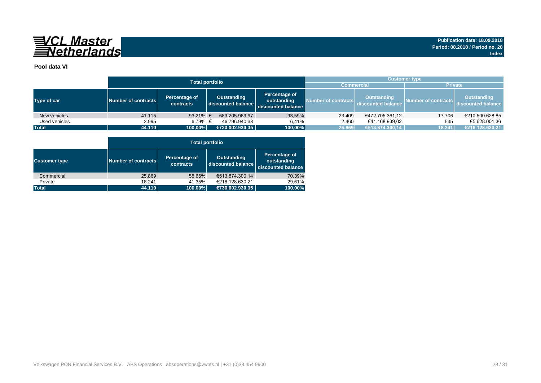

### **Pool data VI**

|               |                     | <b>Total portfolio</b>     | <b>Customer type</b>              |                                                    |                     |                                          |                     |                                   |  |  |  |  |
|---------------|---------------------|----------------------------|-----------------------------------|----------------------------------------------------|---------------------|------------------------------------------|---------------------|-----------------------------------|--|--|--|--|
|               |                     |                            |                                   | <b>Commercial</b>                                  |                     | <b>Private</b>                           |                     |                                   |  |  |  |  |
| Type of car   | Number of contracts | Percentage of<br>contracts | Outstanding<br>discounted balance | Percentage of<br>outstanding<br>discounted balance | Number of contracts | <b>Outstanding</b><br>discounted balance | Number of contracts | Outstanding<br>discounted balance |  |  |  |  |
| New vehicles  | 41.115              | 93,21% $\in$               | 683.205.989,97                    | 93,59%                                             | 23.409              | €472.705.361,12                          | 17.706              | €210.500.628,85                   |  |  |  |  |
| Used vehicles | 2.995               | 6.79% €                    | 46.796.940.38                     | 6.41%                                              | 2.460               | €41.168.939.02                           | 535                 | €5.628.001,36                     |  |  |  |  |
| <b>Total</b>  | 44.110              | 100,00%                    | €730.002.930,35                   | 100,00%                                            | 25.869              | €513.874.300,14                          | 18.241              | €216.128.630,21                   |  |  |  |  |

| <b>Total portfolio</b> |                     |                            |                                          |                                                    |  |  |  |  |  |  |  |  |
|------------------------|---------------------|----------------------------|------------------------------------------|----------------------------------------------------|--|--|--|--|--|--|--|--|
| <b>Customer type</b>   | Number of contracts | Percentage of<br>contracts | <b>Outstanding</b><br>discounted balance | Percentage of<br>outstanding<br>discounted balance |  |  |  |  |  |  |  |  |
| Commercial             | 25.869              | 58,65%                     | €513.874.300.14                          | 70,39%                                             |  |  |  |  |  |  |  |  |
| Private                | 18.241              | 41,35%                     | €216.128.630,21                          | 29.61%                                             |  |  |  |  |  |  |  |  |
| <b>Total</b>           | 44.110              | 100,00%                    | €730.002.930,35                          | 100,00%                                            |  |  |  |  |  |  |  |  |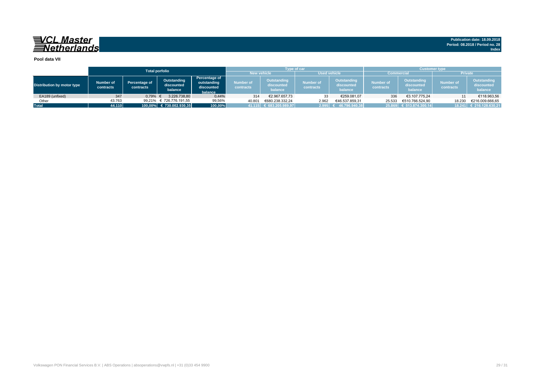| Pool data VII              |                        |                                                                    |                          |                                                              |                        |                                      |                               |                                      |                                                             |                                      |                               |                                      |  |  |  |
|----------------------------|------------------------|--------------------------------------------------------------------|--------------------------|--------------------------------------------------------------|------------------------|--------------------------------------|-------------------------------|--------------------------------------|-------------------------------------------------------------|--------------------------------------|-------------------------------|--------------------------------------|--|--|--|
|                            |                        |                                                                    | <b>Total porfolio</b>    |                                                              | <b>New vehicle</b>     | <b>Type of car</b>                   | <b>Used vehicle</b>           |                                      | <b>Customer type</b><br><b>Private</b><br><b>Commercial</b> |                                      |                               |                                      |  |  |  |
| Distribution by motor type | Number of<br>contracts | Outstanding<br>Percentage of<br>discounted<br>contracts<br>balance |                          | <b>Percentage of</b><br>outstanding<br>discounted<br>balance | Number of<br>contracts | Outstanding<br>discounted<br>balance | <b>Number of</b><br>contracts | Outstanding<br>discounted<br>balance | <b>Number of</b><br>contracts                               | Outstanding<br>discounted<br>balance | <b>Number of</b><br>contracts | Outstanding<br>discounted<br>balance |  |  |  |
| EA189 (unfixed)            | 347                    | 0.79%                                                              | 3.226.738.80             | 0,44%                                                        | 314                    | €2.967.657,73                        | 33                            | €259.081.07                          | 336                                                         | €3.107.775.24                        | 11                            | €118.963,56                          |  |  |  |
| Other                      | 43.763                 |                                                                    | 99.21% € 726.776.191,55  | 99,56%                                                       | 40.801                 | €680.238.332.24                      | 2.962                         | €46.537.859.31                       | 25.533                                                      | €510.766.524.90                      | 18.230                        | €216.009.666,65                      |  |  |  |
| <b>Total</b>               | 44.110                 |                                                                    | 100,00% € 730.002.930,35 | 100,00%                                                      |                        | $41.115$ € 683.205.989,97            | 2.995                         | 46.796.940.38                        |                                                             | 25.869 € 513.874.300.14              |                               | 18.241 € 216.128.630,21              |  |  |  |

**Publication date: 18.09.2018 Period: 08.2018 / Period no. 28**

**Index**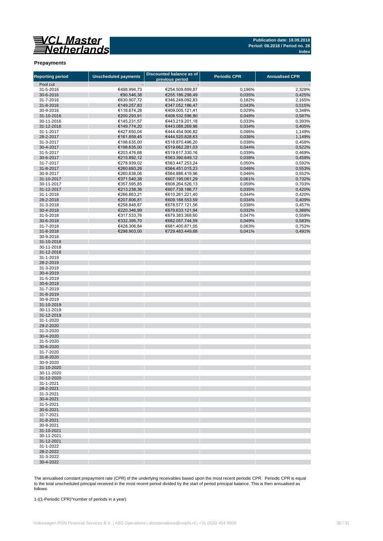#### **Publication date: 18.09.2018 Period: 08.2018 / Period no. 28 Index**

#### **Prepayments**

| <b>Reporting period</b>  | <b>Unscheduled payments</b> | <b>Discounted balance as of</b><br>previous period | <b>Periodic CPR</b> | <b>Annualised CPR</b> |
|--------------------------|-----------------------------|----------------------------------------------------|---------------------|-----------------------|
| Pool cut                 |                             |                                                    |                     |                       |
| 31-5-2016                | €498.994,73                 | €254.509.899,87                                    | 0,196%              | 2,328%                |
| 30-6-2016                | €90.546,38                  | €255.186.298,49                                    | 0,035%              | 0,425%                |
| 31-7-2016                | €630.907,72                 | €346.248.092,83                                    | 0,182%              | 2,165%                |
| 31-8-2016                | €149.257,83                 | €347.052.186,47                                    | 0,043%              | 0,515%                |
| 30-9-2016                | €118.674,28                 | €409.005.121,41                                    | 0,029%              | 0,348%                |
| 31-10-2016               | €200.293,91                 | €408.532.596,90                                    | 0,049%              | 0,587%                |
| 30-11-2016<br>31-12-2016 | €145.231,57<br>€149.774,20  | €443.219.201,18<br>€443.088.269,96                 | 0,033%              | 0,393%                |
| 31-1-2017                | €427.650,04                 | €444.454.906,82                                    | 0,034%<br>0,096%    | 0,405%<br>1,149%      |
| 28-2-2017                | €161.859,45                 | €444.520.828,63                                    | 0,036%              | 1,149%                |
| 31-3-2017                | €198.635,00                 | €518.870.496,20                                    | 0,038%              | 0,458%                |
| 30-4-2017                | €198.635,00                 | €519.662.281,03                                    | 0,044%              | 0,522%                |
| 31-5-2017                | €203.476,68                 | €519.617.330.16                                    | 0,039%              | 0,469%                |
| 30-6-2017                | €215.892,12                 | €563.390.649,12                                    | 0,038%              | 0,459%                |
| 31-7-2017                | €278.939,02                 | €563.447.253,24                                    | 0,050%              | 0,592%                |
| 31-8-2017                | €260.693,26                 | €564.451.015,23                                    | 0,046%              | 0,553%                |
| 30-9-2017                | €260.638,06                 | €564.886.419,96                                    | 0,046%              | 0,552%                |
| 31-10-2017               | €371.540,38                 | €607.195.061,29                                    | 0,061%              | 0,732%                |
| 30-11-2017               | €357.595,85                 | €608.264.526,13                                    | 0,059%              | 0,703%                |
| 31-12-2017               | €213.238,36                 | €607.738.186,77                                    | 0,035%              | 0,420%                |
| 31-1-2018                | €266.863,21                 | €610.261.221,40                                    | 0,044%              | 0,420%                |
| 28-2-2018                | €207.806,81                 | €609.188.553,59                                    | 0,034%              | 0,409%                |
| 31-3-2018<br>30-4-2018   | €258.848,87<br>€220.346,99  | €678.577.121,56<br>€679.633.121,94                 | 0,038%<br>0,032%    | 0,457%<br>0,388%      |
| 31-5-2018                | €317.533,76                 | €679.383.368,60                                    | 0,047%              | 0,559%                |
| 30-6-2018                | €332.395,70                 | €682.057.744,59                                    | 0,049%              | 0,583%                |
| 31-7-2018                | €428.306,84                 | €681.400.871,05                                    | 0,063%              | 0,752%                |
| 31-8-2018                | €298.903,00                 | €729.483.449,68                                    | 0,041%              | 0,491%                |
| 30-9-2018                |                             |                                                    |                     |                       |
| 31-10-2018               |                             |                                                    |                     |                       |
| 30-11-2018               |                             |                                                    |                     |                       |
| 31-12-2018               |                             |                                                    |                     |                       |
| 31-1-2019                |                             |                                                    |                     |                       |
| 28-2-2019                |                             |                                                    |                     |                       |
| 31-3-2019                |                             |                                                    |                     |                       |
| 30-4-2019                |                             |                                                    |                     |                       |
| 31-5-2019                |                             |                                                    |                     |                       |
| 30-6-2019<br>31-7-2019   |                             |                                                    |                     |                       |
| 31-8-2019                |                             |                                                    |                     |                       |
| 30-9-2019                |                             |                                                    |                     |                       |
| 31-10-2019               |                             |                                                    |                     |                       |
| 30-11-2019               |                             |                                                    |                     |                       |
| 31-12-2019               |                             |                                                    |                     |                       |
| 31-1-2020                |                             |                                                    |                     |                       |
| 29-2-2020                |                             |                                                    |                     |                       |
| 31-3-2020                |                             |                                                    |                     |                       |
| 30-4-2020                |                             |                                                    |                     |                       |
| 31-5-2020                |                             |                                                    |                     |                       |
| 30-6-2020                |                             |                                                    |                     |                       |
| 31-7-2020                |                             |                                                    |                     |                       |
| 31-8-2020<br>30-9-2020   |                             |                                                    |                     |                       |
| 31-10-2020               |                             |                                                    |                     |                       |
| 30-11-2020               |                             |                                                    |                     |                       |
| 31-12-2020               |                             |                                                    |                     |                       |
| 31-1-2021                |                             |                                                    |                     |                       |
| 28-2-2021                |                             |                                                    |                     |                       |
| 31-3-2021                |                             |                                                    |                     |                       |
| 30-4-2021                |                             |                                                    |                     |                       |
| 31-5-2021                |                             |                                                    |                     |                       |
| 30-6-2021                |                             |                                                    |                     |                       |
| 31-7-2021                |                             |                                                    |                     |                       |
| 31-8-2021                |                             |                                                    |                     |                       |
| 30-9-2021<br>31-10-2021  |                             |                                                    |                     |                       |
| 30-11-2021               |                             |                                                    |                     |                       |
| 31-12-2021               |                             |                                                    |                     |                       |
| 31-1-2022                |                             |                                                    |                     |                       |
| 28-2-2022                |                             |                                                    |                     |                       |
| 31-3-2022                |                             |                                                    |                     |                       |
| 30-4-2022                |                             |                                                    |                     |                       |

The annualised constant prepayment rate (CPR) of the underlying receivables based upon the most recent periodic CPR. Periodic CPR is equal to the total unscheduled principal received in the most recent period divided by the start of period principal balance. This is then annualised as follows:

1-((1-Periodic CPR)^number of periods in a year)